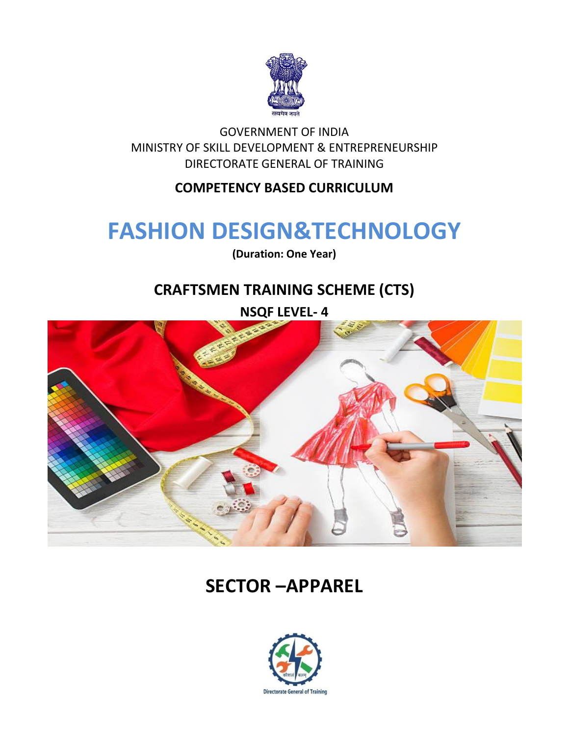

GOVERNMENT OF INDIA MINISTRY OF SKILL DEVELOPMENT & ENTREPRENEURSHIP DIRECTORATE GENERAL OF TRAINING

#### **COMPETENCY BASED CURRICULUM**

## **FASHION DESIGN&TECHNOLOGY**

**(Duration: One Year)**

## **CRAFTSMEN TRAINING SCHEME (CTS)**

**NSQF LEVEL- 4**



## **SECTOR –APPAREL**

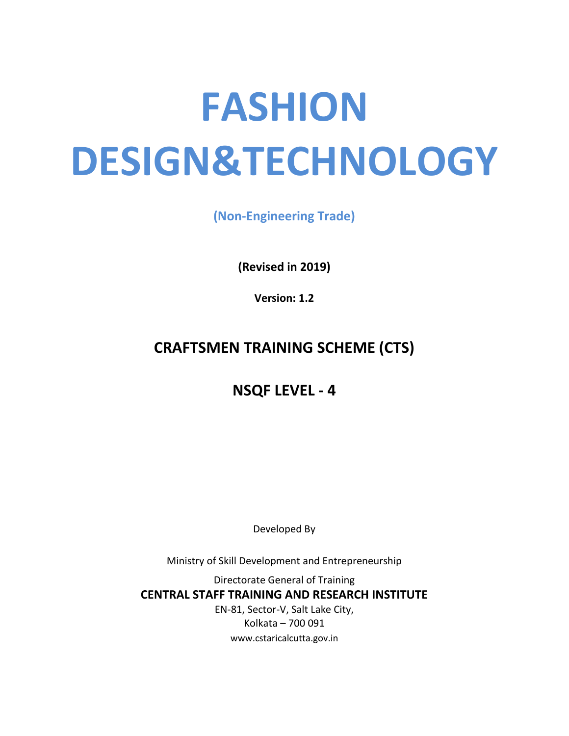# **FASHION DESIGN&TECHNOLOGY**

**(Non-Engineering Trade)**

**(Revised in 2019)**

**Version: 1.2**

## **CRAFTSMEN TRAINING SCHEME (CTS)**

### **NSQF LEVEL - 4**

Developed By

Ministry of Skill Development and Entrepreneurship

Directorate General of Training **CENTRAL STAFF TRAINING AND RESEARCH INSTITUTE** EN-81, Sector-V, Salt Lake City, Kolkata – 700 091 www.cstaricalcutta.gov.in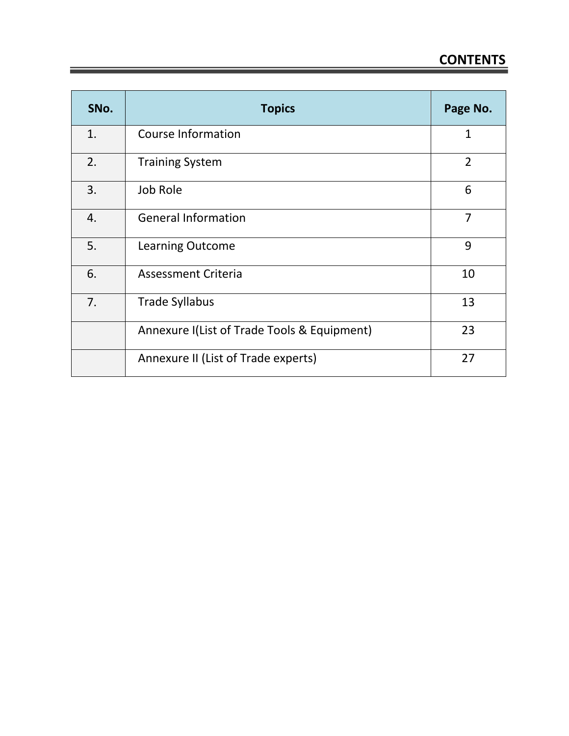| SNo. | <b>Topics</b>                               | Page No.       |
|------|---------------------------------------------|----------------|
| 1.   | <b>Course Information</b>                   | 1              |
| 2.   | <b>Training System</b>                      | $\overline{2}$ |
| 3.   | Job Role                                    | 6              |
| 4.   | <b>General Information</b>                  | 7              |
| 5.   | <b>Learning Outcome</b>                     | 9              |
| 6.   | <b>Assessment Criteria</b>                  | 10             |
| 7.   | <b>Trade Syllabus</b>                       | 13             |
|      | Annexure I(List of Trade Tools & Equipment) | 23             |
|      | Annexure II (List of Trade experts)         | 27             |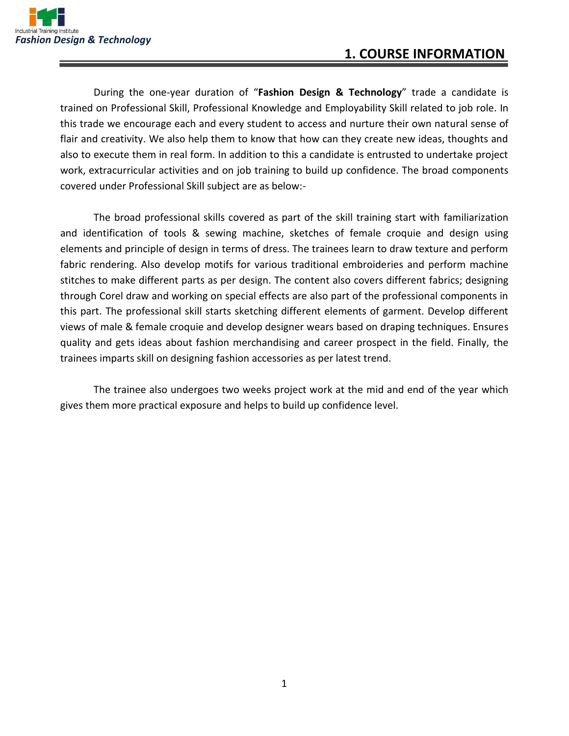

During the one-year duration of "**Fashion Design & Technology**" trade a candidate is trained on Professional Skill, Professional Knowledge and Employability Skill related to job role. In this trade we encourage each and every student to access and nurture their own natural sense of flair and creativity. We also help them to know that how can they create new ideas, thoughts and also to execute them in real form. In addition to this a candidate is entrusted to undertake project work, extracurricular activities and on job training to build up confidence. The broad components covered under Professional Skill subject are as below:-

The broad professional skills covered as part of the skill training start with familiarization and identification of tools & sewing machine, sketches of female croquie and design using elements and principle of design in terms of dress. The trainees learn to draw texture and perform fabric rendering. Also develop motifs for various traditional embroideries and perform machine stitches to make different parts as per design. The content also covers different fabrics; designing through Corel draw and working on special effects are also part of the professional components in this part. The professional skill starts sketching different elements of garment. Develop different views of male & female croquie and develop designer wears based on draping techniques. Ensures quality and gets ideas about fashion merchandising and career prospect in the field. Finally, the trainees imparts skill on designing fashion accessories as per latest trend.

The trainee also undergoes two weeks project work at the mid and end of the year which gives them more practical exposure and helps to build up confidence level.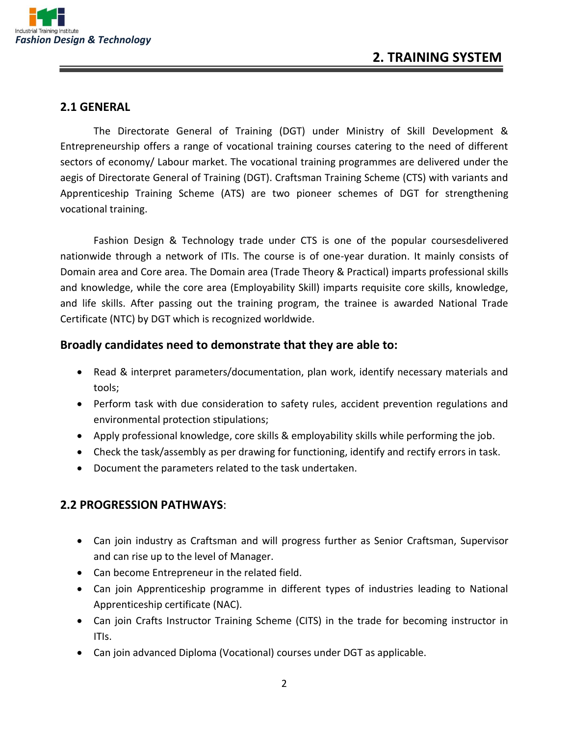

#### **2.1 GENERAL**

The Directorate General of Training (DGT) under Ministry of Skill Development & Entrepreneurship offers a range of vocational training courses catering to the need of different sectors of economy/ Labour market. The vocational training programmes are delivered under the aegis of Directorate General of Training (DGT). Craftsman Training Scheme (CTS) with variants and Apprenticeship Training Scheme (ATS) are two pioneer schemes of DGT for strengthening vocational training.

Fashion Design & Technology trade under CTS is one of the popular coursesdelivered nationwide through a network of ITIs. The course is of one-year duration. It mainly consists of Domain area and Core area. The Domain area (Trade Theory & Practical) imparts professional skills and knowledge, while the core area (Employability Skill) imparts requisite core skills, knowledge, and life skills. After passing out the training program, the trainee is awarded National Trade Certificate (NTC) by DGT which is recognized worldwide.

#### **Broadly candidates need to demonstrate that they are able to:**

- Read & interpret parameters/documentation, plan work, identify necessary materials and tools;
- Perform task with due consideration to safety rules, accident prevention regulations and environmental protection stipulations;
- Apply professional knowledge, core skills & employability skills while performing the job.
- Check the task/assembly as per drawing for functioning, identify and rectify errors in task.
- Document the parameters related to the task undertaken.

#### **2.2 PROGRESSION PATHWAYS**:

- Can join industry as Craftsman and will progress further as Senior Craftsman, Supervisor and can rise up to the level of Manager.
- Can become Entrepreneur in the related field.
- Can join Apprenticeship programme in different types of industries leading to National Apprenticeship certificate (NAC).
- Can join Crafts Instructor Training Scheme (CITS) in the trade for becoming instructor in ITIs.
- Can join advanced Diploma (Vocational) courses under DGT as applicable.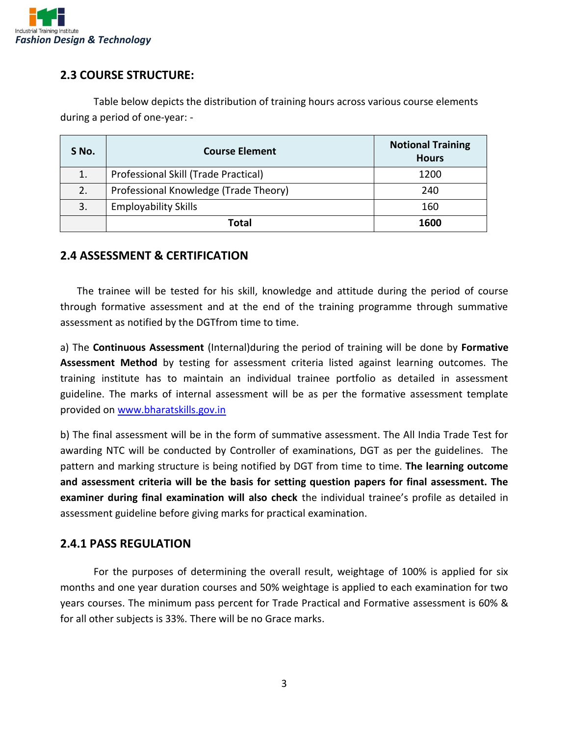

#### **2.3 COURSE STRUCTURE:**

Table below depicts the distribution of training hours across various course elements during a period of one-year: -

| S No. | <b>Course Element</b>                 | <b>Notional Training</b><br><b>Hours</b> |
|-------|---------------------------------------|------------------------------------------|
|       | Professional Skill (Trade Practical)  | 1200                                     |
|       | Professional Knowledge (Trade Theory) | 240                                      |
| 3.    | <b>Employability Skills</b>           | 160                                      |
|       | Total                                 | 1600                                     |

#### **2.4 ASSESSMENT & CERTIFICATION**

The trainee will be tested for his skill, knowledge and attitude during the period of course through formative assessment and at the end of the training programme through summative assessment as notified by the DGTfrom time to time.

a) The **Continuous Assessment** (Internal)during the period of training will be done by **Formative Assessment Method** by testing for assessment criteria listed against learning outcomes. The training institute has to maintain an individual trainee portfolio as detailed in assessment guideline. The marks of internal assessment will be as per the formative assessment template provided on [www.bharatskills.gov.in](http://www.bharatskills.gov.in/)

b) The final assessment will be in the form of summative assessment. The All India Trade Test for awarding NTC will be conducted by Controller of examinations, DGT as per the guidelines. The pattern and marking structure is being notified by DGT from time to time. **The learning outcome and assessment criteria will be the basis for setting question papers for final assessment. The examiner during final examination will also check** the individual trainee's profile as detailed in assessment guideline before giving marks for practical examination.

#### **2.4.1 PASS REGULATION**

For the purposes of determining the overall result, weightage of 100% is applied for six months and one year duration courses and 50% weightage is applied to each examination for two years courses. The minimum pass percent for Trade Practical and Formative assessment is 60% & for all other subjects is 33%. There will be no Grace marks.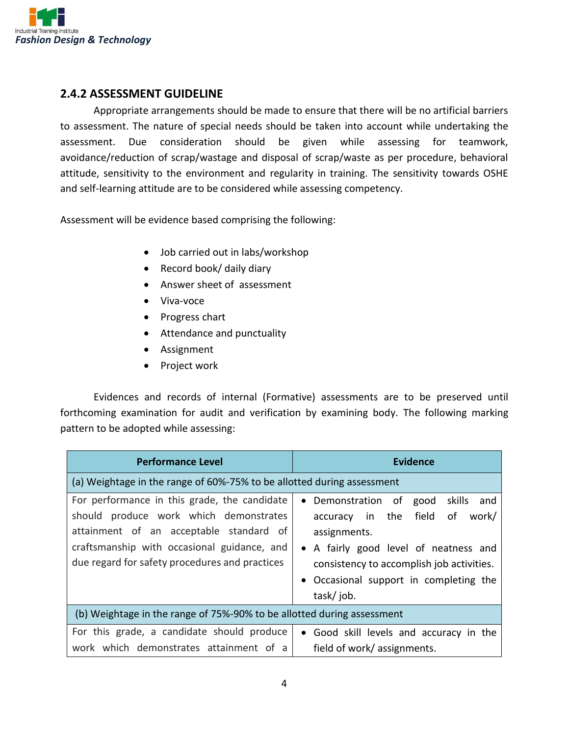

#### **2.4.2 ASSESSMENT GUIDELINE**

Appropriate arrangements should be made to ensure that there will be no artificial barriers to assessment. The nature of special needs should be taken into account while undertaking the assessment. Due consideration should be given while assessing for teamwork, avoidance/reduction of scrap/wastage and disposal of scrap/waste as per procedure, behavioral attitude, sensitivity to the environment and regularity in training. The sensitivity towards OSHE and self-learning attitude are to be considered while assessing competency.

Assessment will be evidence based comprising the following:

- Job carried out in labs/workshop
- Record book/ daily diary
- Answer sheet of assessment
- Viva-voce
- Progress chart
- Attendance and punctuality
- Assignment
- Project work

Evidences and records of internal (Formative) assessments are to be preserved until forthcoming examination for audit and verification by examining body. The following marking pattern to be adopted while assessing:

| <b>Performance Level</b>                                                                                                                                                                                                           | <b>Evidence</b>                                                                                                                                                                                                                                                |  |  |
|------------------------------------------------------------------------------------------------------------------------------------------------------------------------------------------------------------------------------------|----------------------------------------------------------------------------------------------------------------------------------------------------------------------------------------------------------------------------------------------------------------|--|--|
| (a) Weightage in the range of 60%-75% to be allotted during assessment                                                                                                                                                             |                                                                                                                                                                                                                                                                |  |  |
| For performance in this grade, the candidate<br>should produce work which demonstrates<br>attainment of an acceptable standard of<br>craftsmanship with occasional guidance, and<br>due regard for safety procedures and practices | Demonstration of<br>skills<br>good<br>and<br>$\bullet$<br>field<br>accuracy in the<br>of<br>work/<br>assignments.<br>• A fairly good level of neatness and<br>consistency to accomplish job activities.<br>• Occasional support in completing the<br>task/job. |  |  |
| (b) Weightage in the range of 75%-90% to be allotted during assessment                                                                                                                                                             |                                                                                                                                                                                                                                                                |  |  |
| For this grade, a candidate should produce<br>work which demonstrates attainment of a                                                                                                                                              | • Good skill levels and accuracy in the<br>field of work/assignments.                                                                                                                                                                                          |  |  |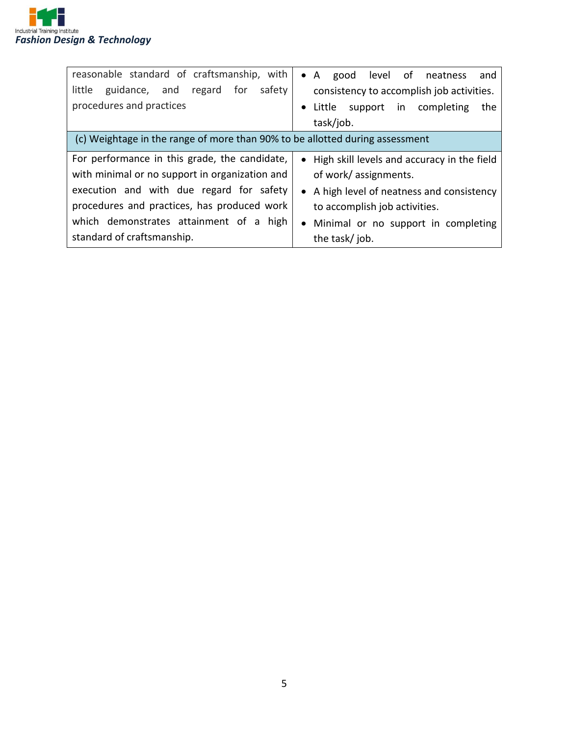

| reasonable standard of craftsmanship, with<br>little guidance, and regard for safety | good level of neatness<br>$\bullet$ A<br>and<br>consistency to accomplish job activities. |
|--------------------------------------------------------------------------------------|-------------------------------------------------------------------------------------------|
|                                                                                      |                                                                                           |
| procedures and practices                                                             | support in completing<br>Little<br>the<br>$\bullet$                                       |
|                                                                                      | task/job.                                                                                 |
| (c) Weightage in the range of more than 90% to be allotted during assessment         |                                                                                           |
| For performance in this grade, the candidate,                                        | • High skill levels and accuracy in the field                                             |
| with minimal or no support in organization and                                       | of work/assignments.                                                                      |
| execution and with due regard for safety                                             | • A high level of neatness and consistency                                                |
| procedures and practices, has produced work                                          | to accomplish job activities.                                                             |
| which demonstrates attainment of a high                                              | • Minimal or no support in completing                                                     |
| standard of craftsmanship.                                                           | the task/job.                                                                             |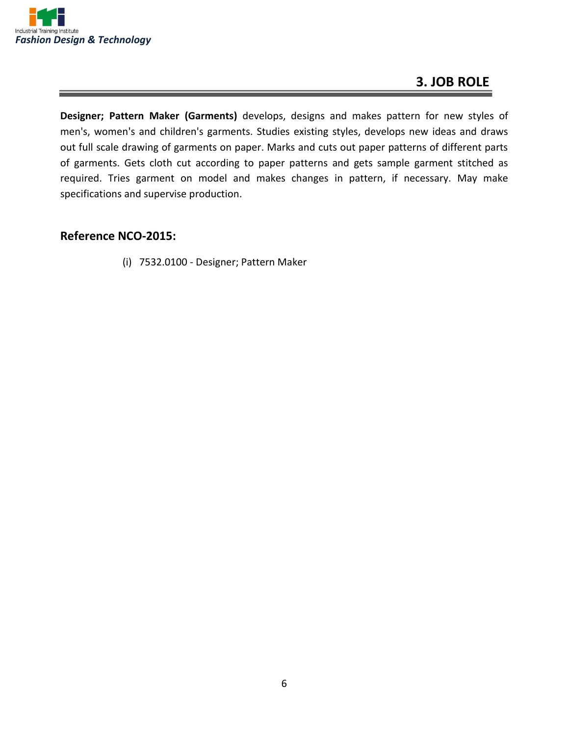

#### **3. JOB ROLE**

**Designer; Pattern Maker (Garments)** develops, designs and makes pattern for new styles of men's, women's and children's garments. Studies existing styles, develops new ideas and draws out full scale drawing of garments on paper. Marks and cuts out paper patterns of different parts of garments. Gets cloth cut according to paper patterns and gets sample garment stitched as required. Tries garment on model and makes changes in pattern, if necessary. May make specifications and supervise production.

#### **Reference NCO-2015:**

(i) 7532.0100 - Designer; Pattern Maker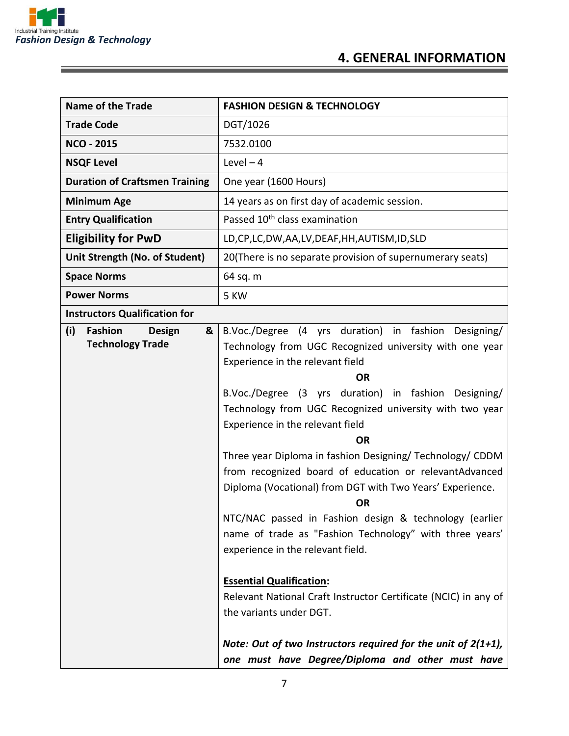

#### **4. GENERAL INFORMATION**

| Name of the Trade                                                      | <b>FASHION DESIGN &amp; TECHNOLOGY</b>                                                                                                                                                                                                                                                                                                                                                                                                                                                                                                                                                                                                                                                                                                                                                                                                                                                                                                                   |  |
|------------------------------------------------------------------------|----------------------------------------------------------------------------------------------------------------------------------------------------------------------------------------------------------------------------------------------------------------------------------------------------------------------------------------------------------------------------------------------------------------------------------------------------------------------------------------------------------------------------------------------------------------------------------------------------------------------------------------------------------------------------------------------------------------------------------------------------------------------------------------------------------------------------------------------------------------------------------------------------------------------------------------------------------|--|
| <b>Trade Code</b>                                                      | DGT/1026                                                                                                                                                                                                                                                                                                                                                                                                                                                                                                                                                                                                                                                                                                                                                                                                                                                                                                                                                 |  |
| <b>NCO - 2015</b>                                                      | 7532.0100                                                                                                                                                                                                                                                                                                                                                                                                                                                                                                                                                                                                                                                                                                                                                                                                                                                                                                                                                |  |
| <b>NSQF Level</b>                                                      | $Level - 4$                                                                                                                                                                                                                                                                                                                                                                                                                                                                                                                                                                                                                                                                                                                                                                                                                                                                                                                                              |  |
| <b>Duration of Craftsmen Training</b>                                  | One year (1600 Hours)                                                                                                                                                                                                                                                                                                                                                                                                                                                                                                                                                                                                                                                                                                                                                                                                                                                                                                                                    |  |
| <b>Minimum Age</b>                                                     | 14 years as on first day of academic session.                                                                                                                                                                                                                                                                                                                                                                                                                                                                                                                                                                                                                                                                                                                                                                                                                                                                                                            |  |
| <b>Entry Qualification</b>                                             | Passed 10 <sup>th</sup> class examination                                                                                                                                                                                                                                                                                                                                                                                                                                                                                                                                                                                                                                                                                                                                                                                                                                                                                                                |  |
| <b>Eligibility for PwD</b>                                             | LD,CP,LC,DW,AA,LV,DEAF,HH,AUTISM,ID,SLD                                                                                                                                                                                                                                                                                                                                                                                                                                                                                                                                                                                                                                                                                                                                                                                                                                                                                                                  |  |
| Unit Strength (No. of Student)                                         | 20(There is no separate provision of supernumerary seats)                                                                                                                                                                                                                                                                                                                                                                                                                                                                                                                                                                                                                                                                                                                                                                                                                                                                                                |  |
| <b>Space Norms</b>                                                     | 64 sq. m                                                                                                                                                                                                                                                                                                                                                                                                                                                                                                                                                                                                                                                                                                                                                                                                                                                                                                                                                 |  |
| <b>Power Norms</b>                                                     | 5 KW                                                                                                                                                                                                                                                                                                                                                                                                                                                                                                                                                                                                                                                                                                                                                                                                                                                                                                                                                     |  |
| <b>Instructors Qualification for</b>                                   |                                                                                                                                                                                                                                                                                                                                                                                                                                                                                                                                                                                                                                                                                                                                                                                                                                                                                                                                                          |  |
| (i)<br><b>Fashion</b><br><b>Design</b><br>&<br><b>Technology Trade</b> | B.Voc./Degree (4 yrs duration) in fashion Designing/<br>Technology from UGC Recognized university with one year<br>Experience in the relevant field<br><b>OR</b><br>B.Voc./Degree (3 yrs duration) in fashion Designing/<br>Technology from UGC Recognized university with two year<br>Experience in the relevant field<br><b>OR</b><br>Three year Diploma in fashion Designing/ Technology/ CDDM<br>from recognized board of education or relevantAdvanced<br>Diploma (Vocational) from DGT with Two Years' Experience.<br><b>OR</b><br>NTC/NAC passed in Fashion design & technology (earlier<br>name of trade as "Fashion Technology" with three years'<br>experience in the relevant field.<br><b>Essential Qualification:</b><br>Relevant National Craft Instructor Certificate (NCIC) in any of<br>the variants under DGT.<br>Note: Out of two Instructors required for the unit of $2(1+1)$ ,<br>one must have Degree/Diploma and other must have |  |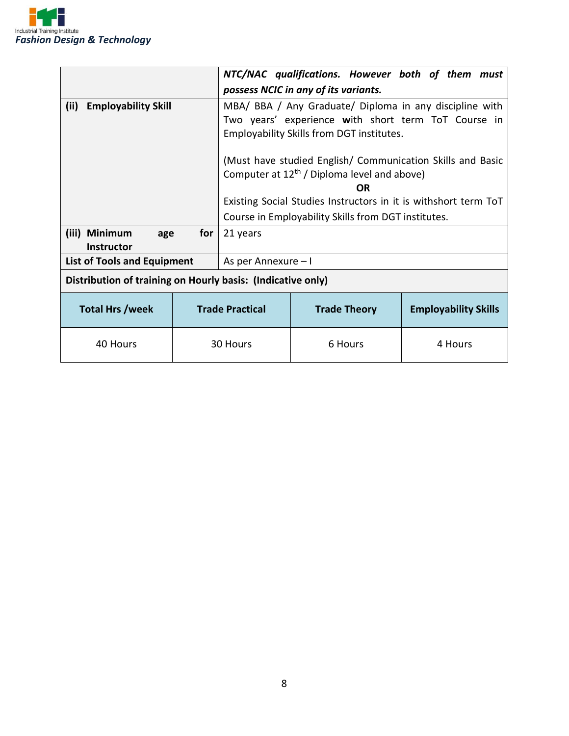

|                                                             |  |                                                                                                                                                                                                                           | NTC/NAC qualifications. However both of them must |                             |
|-------------------------------------------------------------|--|---------------------------------------------------------------------------------------------------------------------------------------------------------------------------------------------------------------------------|---------------------------------------------------|-----------------------------|
|                                                             |  | possess NCIC in any of its variants.                                                                                                                                                                                      |                                                   |                             |
| <b>Employability Skill</b><br>(ii)                          |  | MBA/ BBA / Any Graduate/ Diploma in any discipline with<br>Two years' experience with short term ToT Course in<br>Employability Skills from DGT institutes.<br>(Must have studied English/ Communication Skills and Basic |                                                   |                             |
|                                                             |  | Computer at 12 <sup>th</sup> / Diploma level and above)                                                                                                                                                                   |                                                   |                             |
|                                                             |  |                                                                                                                                                                                                                           | <b>OR</b>                                         |                             |
|                                                             |  | Existing Social Studies Instructors in it is withshort term ToT                                                                                                                                                           |                                                   |                             |
|                                                             |  | Course in Employability Skills from DGT institutes.                                                                                                                                                                       |                                                   |                             |
| (iii) Minimum<br>for<br>age<br><b>Instructor</b>            |  | 21 years                                                                                                                                                                                                                  |                                                   |                             |
| <b>List of Tools and Equipment</b>                          |  | As per Annexure - I                                                                                                                                                                                                       |                                                   |                             |
| Distribution of training on Hourly basis: (Indicative only) |  |                                                                                                                                                                                                                           |                                                   |                             |
| <b>Total Hrs /week</b>                                      |  | <b>Trade Practical</b>                                                                                                                                                                                                    | <b>Trade Theory</b>                               | <b>Employability Skills</b> |
| 40 Hours                                                    |  | 30 Hours                                                                                                                                                                                                                  | 6 Hours                                           | 4 Hours                     |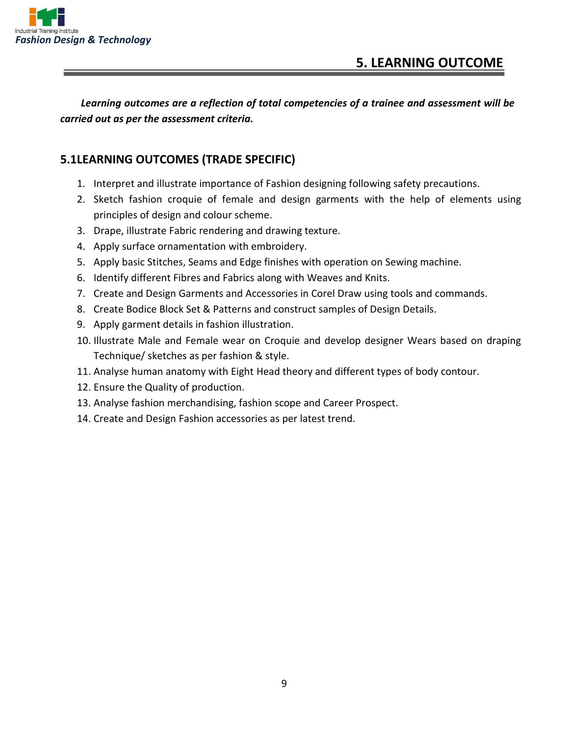

*Learning outcomes are a reflection of total competencies of a trainee and assessment will be carried out as per the assessment criteria.*

#### **5.1LEARNING OUTCOMES (TRADE SPECIFIC)**

- 1. Interpret and illustrate importance of Fashion designing following safety precautions.
- 2. Sketch fashion croquie of female and design garments with the help of elements using principles of design and colour scheme.
- 3. Drape, illustrate Fabric rendering and drawing texture.
- 4. Apply surface ornamentation with embroidery.
- 5. Apply basic Stitches, Seams and Edge finishes with operation on Sewing machine.
- 6. Identify different Fibres and Fabrics along with Weaves and Knits.
- 7. Create and Design Garments and Accessories in Corel Draw using tools and commands.
- 8. Create Bodice Block Set & Patterns and construct samples of Design Details.
- 9. Apply garment details in fashion illustration.
- 10. Illustrate Male and Female wear on Croquie and develop designer Wears based on draping Technique/ sketches as per fashion & style.
- 11. Analyse human anatomy with Eight Head theory and different types of body contour.
- 12. Ensure the Quality of production.
- 13. Analyse fashion merchandising, fashion scope and Career Prospect.
- 14. Create and Design Fashion accessories as per latest trend.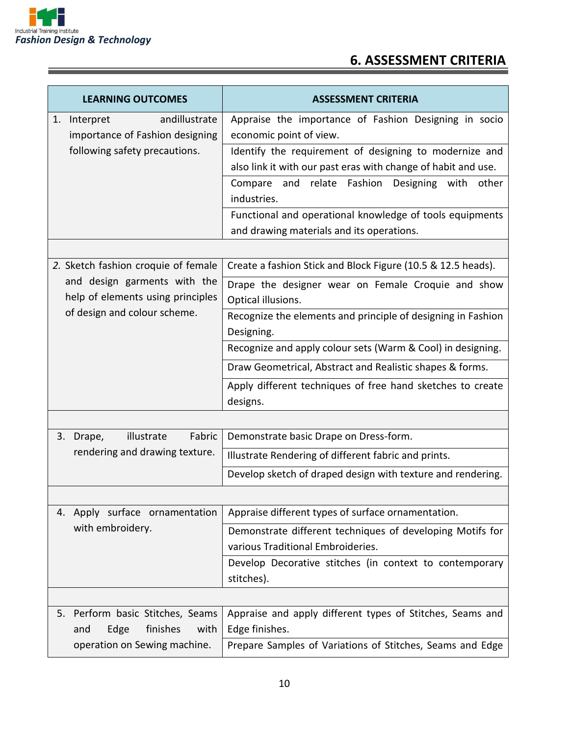

#### **6. ASSESSMENT CRITERIA**

| <b>LEARNING OUTCOMES</b>                                               | <b>ASSESSMENT CRITERIA</b>                                                                     |  |
|------------------------------------------------------------------------|------------------------------------------------------------------------------------------------|--|
| andillustrate<br>1. Interpret                                          | Appraise the importance of Fashion Designing in socio                                          |  |
| importance of Fashion designing                                        | economic point of view.                                                                        |  |
| following safety precautions.                                          | Identify the requirement of designing to modernize and                                         |  |
|                                                                        | also link it with our past eras with change of habit and use.                                  |  |
|                                                                        | Compare and relate Fashion<br>Designing with other<br>industries.                              |  |
|                                                                        | Functional and operational knowledge of tools equipments                                       |  |
|                                                                        | and drawing materials and its operations.                                                      |  |
|                                                                        |                                                                                                |  |
| 2. Sketch fashion croquie of female                                    | Create a fashion Stick and Block Figure (10.5 & 12.5 heads).                                   |  |
| and design garments with the<br>help of elements using principles      | Drape the designer wear on Female Croquie and show<br>Optical illusions.                       |  |
| of design and colour scheme.                                           | Recognize the elements and principle of designing in Fashion<br>Designing.                     |  |
|                                                                        | Recognize and apply colour sets (Warm & Cool) in designing.                                    |  |
|                                                                        | Draw Geometrical, Abstract and Realistic shapes & forms.                                       |  |
|                                                                        | Apply different techniques of free hand sketches to create<br>designs.                         |  |
|                                                                        |                                                                                                |  |
| Fabric<br>illustrate<br>3.<br>Drape,                                   | Demonstrate basic Drape on Dress-form.                                                         |  |
| rendering and drawing texture.                                         | Illustrate Rendering of different fabric and prints.                                           |  |
|                                                                        | Develop sketch of draped design with texture and rendering.                                    |  |
|                                                                        |                                                                                                |  |
| 4. Apply surface ornamentation                                         | Appraise different types of surface ornamentation.                                             |  |
| with embroidery.                                                       | Demonstrate different techniques of developing Motifs for<br>various Traditional Embroideries. |  |
|                                                                        | Develop Decorative stitches (in context to contemporary<br>stitches).                          |  |
|                                                                        |                                                                                                |  |
| Perform basic Stitches, Seams<br>5.<br>finishes<br>Edge<br>with<br>and | Appraise and apply different types of Stitches, Seams and<br>Edge finishes.                    |  |
| operation on Sewing machine.                                           | Prepare Samples of Variations of Stitches, Seams and Edge                                      |  |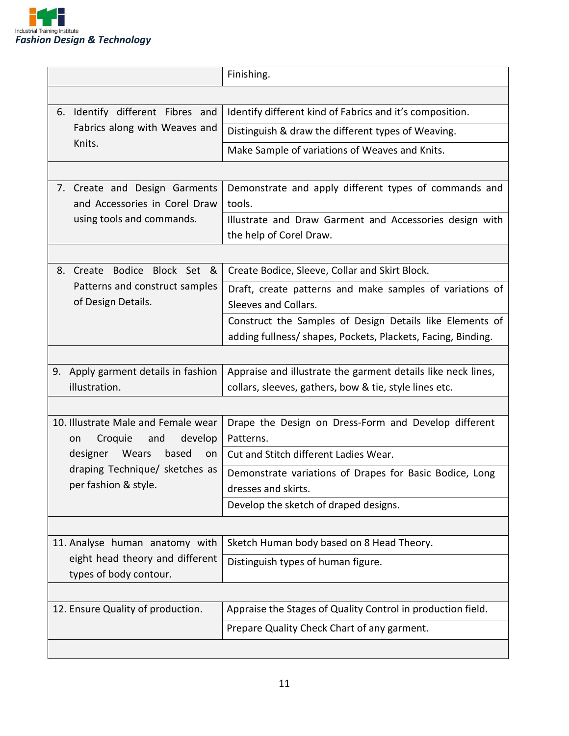

|                                                                        | Finishing.                                                                         |
|------------------------------------------------------------------------|------------------------------------------------------------------------------------|
|                                                                        |                                                                                    |
|                                                                        |                                                                                    |
| 6. Identify different Fibres and                                       | Identify different kind of Fabrics and it's composition.                           |
| Fabrics along with Weaves and                                          | Distinguish & draw the different types of Weaving.                                 |
| Knits.                                                                 | Make Sample of variations of Weaves and Knits.                                     |
|                                                                        |                                                                                    |
| 7. Create and Design Garments<br>and Accessories in Corel Draw         | Demonstrate and apply different types of commands and<br>tools.                    |
| using tools and commands.                                              | Illustrate and Draw Garment and Accessories design with<br>the help of Corel Draw. |
|                                                                        |                                                                                    |
| 8. Create Bodice Block Set &                                           | Create Bodice, Sleeve, Collar and Skirt Block.                                     |
| Patterns and construct samples<br>of Design Details.                   | Draft, create patterns and make samples of variations of<br>Sleeves and Collars.   |
|                                                                        | Construct the Samples of Design Details like Elements of                           |
|                                                                        | adding fullness/ shapes, Pockets, Plackets, Facing, Binding.                       |
|                                                                        |                                                                                    |
| 9. Apply garment details in fashion                                    | Appraise and illustrate the garment details like neck lines,                       |
| illustration.                                                          | collars, sleeves, gathers, bow & tie, style lines etc.                             |
|                                                                        |                                                                                    |
| 10. Illustrate Male and Female wear<br>develop<br>Croquie<br>and<br>on | Drape the Design on Dress-Form and Develop different<br>Patterns.                  |
| Wears<br>designer<br>based<br>on                                       | Cut and Stitch different Ladies Wear.                                              |
| draping Technique/ sketches as<br>per fashion & style.                 | Demonstrate variations of Drapes for Basic Bodice, Long<br>dresses and skirts.     |
|                                                                        | Develop the sketch of draped designs.                                              |
|                                                                        |                                                                                    |
| 11. Analyse human anatomy with                                         | Sketch Human body based on 8 Head Theory.                                          |
| eight head theory and different<br>types of body contour.              | Distinguish types of human figure.                                                 |
|                                                                        |                                                                                    |
| 12. Ensure Quality of production.                                      | Appraise the Stages of Quality Control in production field.                        |
|                                                                        | Prepare Quality Check Chart of any garment.                                        |
|                                                                        |                                                                                    |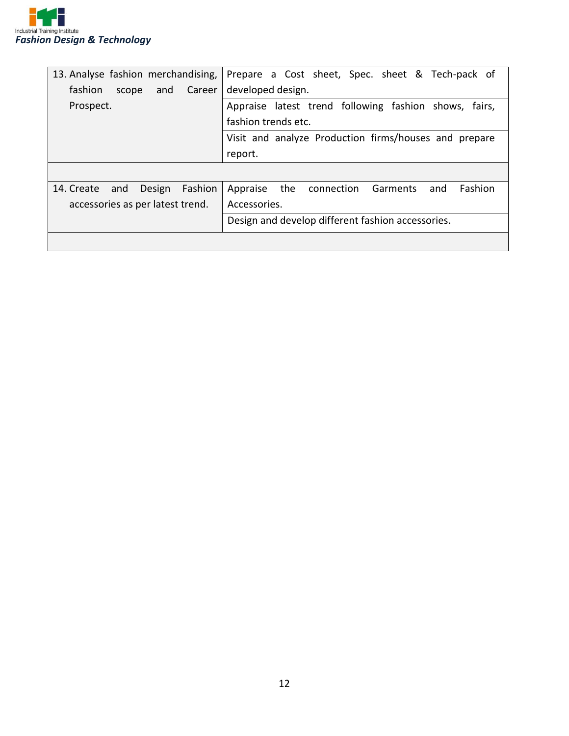

| 13. Analyse fashion merchandising,               | Prepare a Cost sheet, Spec. sheet & Tech-pack of            |  |  |
|--------------------------------------------------|-------------------------------------------------------------|--|--|
| fashion<br>Career<br>and<br>scope                | developed design.                                           |  |  |
| Prospect.                                        | Appraise latest trend following fashion shows,<br>fairs,    |  |  |
|                                                  | fashion trends etc.                                         |  |  |
|                                                  | Visit and analyze Production firms/houses and prepare       |  |  |
|                                                  | report.                                                     |  |  |
|                                                  |                                                             |  |  |
| Fashion<br>14. Create<br>Design<br>and           | Fashion<br>the<br>Appraise<br>connection<br>Garments<br>and |  |  |
| accessories as per latest trend.<br>Accessories. |                                                             |  |  |
|                                                  | Design and develop different fashion accessories.           |  |  |
|                                                  |                                                             |  |  |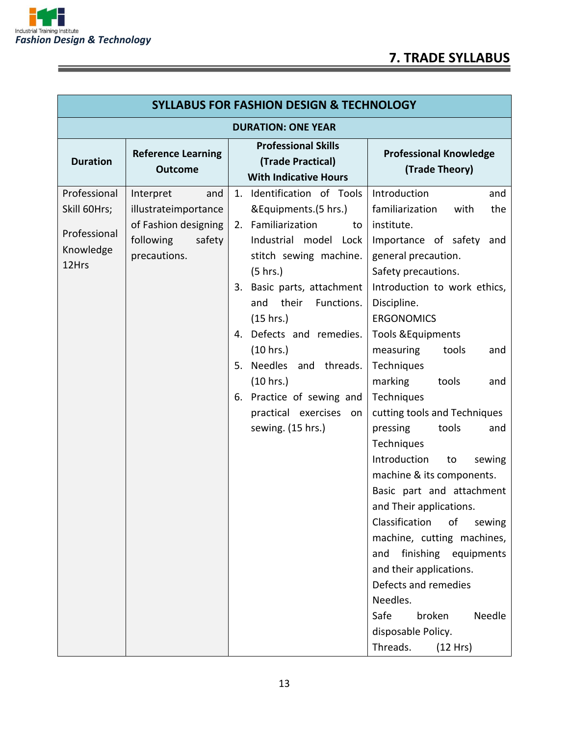

| <b>SYLLABUS FOR FASHION DESIGN &amp; TECHNOLOGY</b>                |                                                                                                         |                                                                                                                                                                                                                                                                                                                                                                                                       |                                                                                                                                                                                                                                                                                                                                                                                                                                                                                                                                                                                                                                                                                                                                                          |  |
|--------------------------------------------------------------------|---------------------------------------------------------------------------------------------------------|-------------------------------------------------------------------------------------------------------------------------------------------------------------------------------------------------------------------------------------------------------------------------------------------------------------------------------------------------------------------------------------------------------|----------------------------------------------------------------------------------------------------------------------------------------------------------------------------------------------------------------------------------------------------------------------------------------------------------------------------------------------------------------------------------------------------------------------------------------------------------------------------------------------------------------------------------------------------------------------------------------------------------------------------------------------------------------------------------------------------------------------------------------------------------|--|
| <b>DURATION: ONE YEAR</b>                                          |                                                                                                         |                                                                                                                                                                                                                                                                                                                                                                                                       |                                                                                                                                                                                                                                                                                                                                                                                                                                                                                                                                                                                                                                                                                                                                                          |  |
| <b>Duration</b>                                                    | <b>Reference Learning</b><br><b>Outcome</b>                                                             | <b>Professional Skills</b><br>(Trade Practical)<br><b>With Indicative Hours</b>                                                                                                                                                                                                                                                                                                                       | <b>Professional Knowledge</b><br>(Trade Theory)                                                                                                                                                                                                                                                                                                                                                                                                                                                                                                                                                                                                                                                                                                          |  |
| Professional<br>Skill 60Hrs;<br>Professional<br>Knowledge<br>12Hrs | Interpret<br>and<br>illustrateimportance<br>of Fashion designing<br>following<br>safety<br>precautions. | Identification of Tools<br>1.<br>&Equipments.(5 hrs.)<br>Familiarization<br>to<br>2.<br>Industrial model<br>Lock<br>stitch sewing machine.<br>(5 hrs.)<br>Basic parts, attachment<br>3.<br>and<br>their<br>Functions.<br>(15 hrs.)<br>4. Defects and remedies.<br>(10 hrs.)<br>Needles and threads.<br>5.<br>(10 hrs.)<br>6. Practice of sewing and<br>practical exercises<br>on<br>sewing. (15 hrs.) | Introduction<br>and<br>familiarization<br>with<br>the<br>institute.<br>Importance of safety<br>and<br>general precaution.<br>Safety precautions.<br>Introduction to work ethics,<br>Discipline.<br><b>ERGONOMICS</b><br><b>Tools &amp; Equipments</b><br>measuring<br>tools<br>and<br>Techniques<br>marking<br>tools<br>and<br>Techniques<br>cutting tools and Techniques<br>tools<br>pressing<br>and<br>Techniques<br>Introduction<br>sewing<br>to<br>machine & its components.<br>Basic part and attachment<br>and Their applications.<br>Classification<br>of<br>sewing<br>machine, cutting machines,<br>finishing equipments<br>and<br>and their applications.<br>Defects and remedies<br>Needles.<br>broken<br>Needle<br>Safe<br>disposable Policy. |  |
|                                                                    |                                                                                                         |                                                                                                                                                                                                                                                                                                                                                                                                       | Threads.<br>(12 Hrs)                                                                                                                                                                                                                                                                                                                                                                                                                                                                                                                                                                                                                                                                                                                                     |  |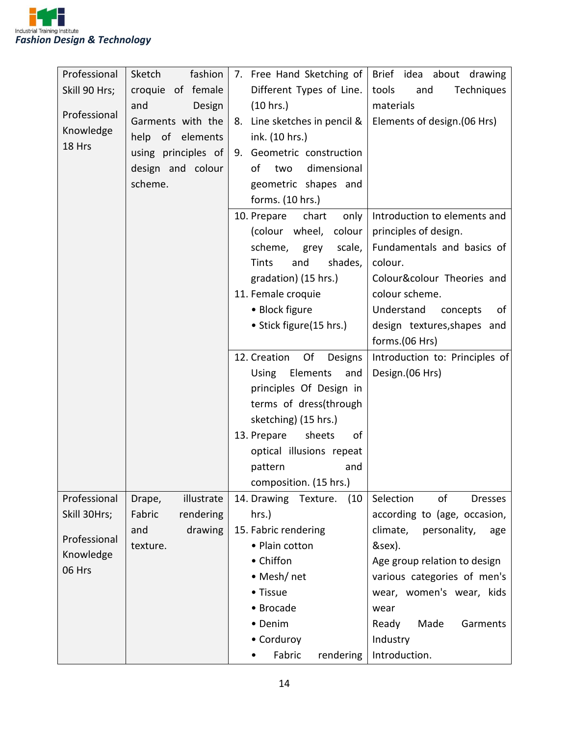

| Professional  | fashion<br>Sketch           | 7. Free Hand Sketching of       | Brief idea about drawing          |
|---------------|-----------------------------|---------------------------------|-----------------------------------|
| Skill 90 Hrs; | croquie of female           | Different Types of Line.        | tools<br>Techniques<br>and        |
|               | and                         | (10 hrs.)                       | materials                         |
| Professional  | Design<br>Garments with the |                                 |                                   |
| Knowledge     |                             | Line sketches in pencil &<br>8. | Elements of design. (06 Hrs)      |
| 18 Hrs        | help<br>of elements         | ink. (10 hrs.)                  |                                   |
|               | using principles of         | Geometric construction<br>9.    |                                   |
|               | design and colour           | dimensional<br>of<br>two        |                                   |
|               | scheme.                     | geometric shapes and            |                                   |
|               |                             | forms. (10 hrs.)                |                                   |
|               |                             | 10. Prepare<br>chart<br>only    | Introduction to elements and      |
|               |                             | (colour wheel, colour           | principles of design.             |
|               |                             | scheme, grey<br>scale,          | Fundamentals and basics of        |
|               |                             | and<br>shades,<br>Tints         | colour.                           |
|               |                             | gradation) (15 hrs.)            | Colour&colour Theories and        |
|               |                             | 11. Female croquie              | colour scheme.                    |
|               |                             | • Block figure                  | Understand<br>concepts<br>of      |
|               |                             | • Stick figure(15 hrs.)         | design textures, shapes and       |
|               |                             |                                 | forms.(06 Hrs)                    |
|               |                             | 12. Creation<br>Of<br>Designs   | Introduction to: Principles of    |
|               |                             | Elements<br>Using<br>and        | Design.(06 Hrs)                   |
|               |                             | principles Of Design in         |                                   |
|               |                             | terms of dress(through          |                                   |
|               |                             | sketching) (15 hrs.)            |                                   |
|               |                             | 13. Prepare<br>sheets<br>of     |                                   |
|               |                             | optical illusions repeat        |                                   |
|               |                             | pattern<br>and                  |                                   |
|               |                             | composition. (15 hrs.)          |                                   |
| Professional  | illustrate<br>Drape,        | 14. Drawing Texture.<br>(10)    | of<br>Selection<br><b>Dresses</b> |
| Skill 30Hrs;  | Fabric<br>rendering         | hrs.)                           | according to (age, occasion,      |
|               | drawing<br>and              | 15. Fabric rendering            | climate,<br>personality,<br>age   |
| Professional  | texture.                    | • Plain cotton                  | &sex).                            |
| Knowledge     |                             | • Chiffon                       | Age group relation to design      |
| 06 Hrs        |                             | • Mesh/net                      | various categories of men's       |
|               |                             | • Tissue                        | wear, women's wear, kids          |
|               |                             | • Brocade                       | wear                              |
|               |                             | • Denim                         | Made<br>Garments<br>Ready         |
|               |                             | • Corduroy                      | Industry                          |
|               |                             | Fabric<br>rendering             | Introduction.                     |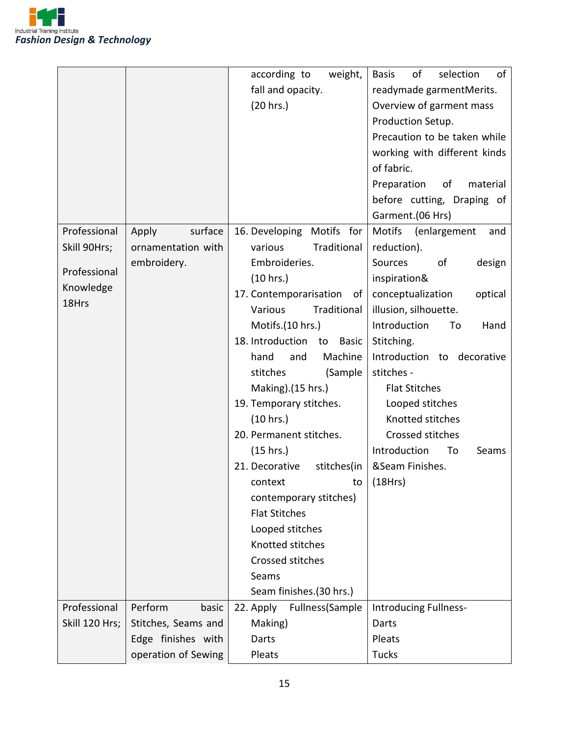

|                |                     | according to<br>weight,       | of<br><b>Basis</b><br>selection<br>of |
|----------------|---------------------|-------------------------------|---------------------------------------|
|                |                     | fall and opacity.             | readymade garmentMerits.              |
|                |                     | (20 hrs.)                     | Overview of garment mass              |
|                |                     |                               | Production Setup.                     |
|                |                     |                               | Precaution to be taken while          |
|                |                     |                               | working with different kinds          |
|                |                     |                               | of fabric.                            |
|                |                     |                               | Preparation<br>of<br>material         |
|                |                     |                               | before cutting, Draping of            |
|                |                     |                               | Garment.(06 Hrs)                      |
| Professional   | surface<br>Apply    | 16. Developing Motifs for     | Motifs (enlargement<br>and            |
| Skill 90Hrs;   | ornamentation with  | Traditional<br>various        | reduction).                           |
|                | embroidery.         | Embroideries.                 | Sources<br>of<br>design               |
| Professional   |                     | (10 hrs.)                     | inspiration&                          |
| Knowledge      |                     | 17. Contemporarisation<br>of  | conceptualization<br>optical          |
| 18Hrs          |                     | Traditional<br>Various        | illusion, silhouette.                 |
|                |                     | Motifs.(10 hrs.)              | Introduction<br>Hand<br>To            |
|                |                     | 18. Introduction to<br>Basic  | Stitching.                            |
|                |                     | hand<br>Machine<br>and        | Introduction to<br>decorative         |
|                |                     | stitches<br>(Sample           | stitches -                            |
|                |                     | Making).(15 hrs.)             | <b>Flat Stitches</b>                  |
|                |                     | 19. Temporary stitches.       | Looped stitches                       |
|                |                     | (10 hrs.)                     | Knotted stitches                      |
|                |                     | 20. Permanent stitches.       | Crossed stitches                      |
|                |                     | (15 hrs.)                     | Introduction<br>To<br>Seams           |
|                |                     | 21. Decorative<br>stitches(in | &Seam Finishes.                       |
|                |                     | context                       | to $(18Hrs)$                          |
|                |                     | contemporary stitches)        |                                       |
|                |                     | <b>Flat Stitches</b>          |                                       |
|                |                     | Looped stitches               |                                       |
|                |                     | Knotted stitches              |                                       |
|                |                     | Crossed stitches              |                                       |
|                |                     | Seams                         |                                       |
|                |                     | Seam finishes.(30 hrs.)       |                                       |
| Professional   | Perform<br>basic    | 22. Apply<br>Fullness(Sample  | Introducing Fullness-                 |
| Skill 120 Hrs; | Stitches, Seams and | Making)                       | Darts                                 |
|                | Edge finishes with  | Darts                         | Pleats                                |
|                | operation of Sewing | Pleats                        | <b>Tucks</b>                          |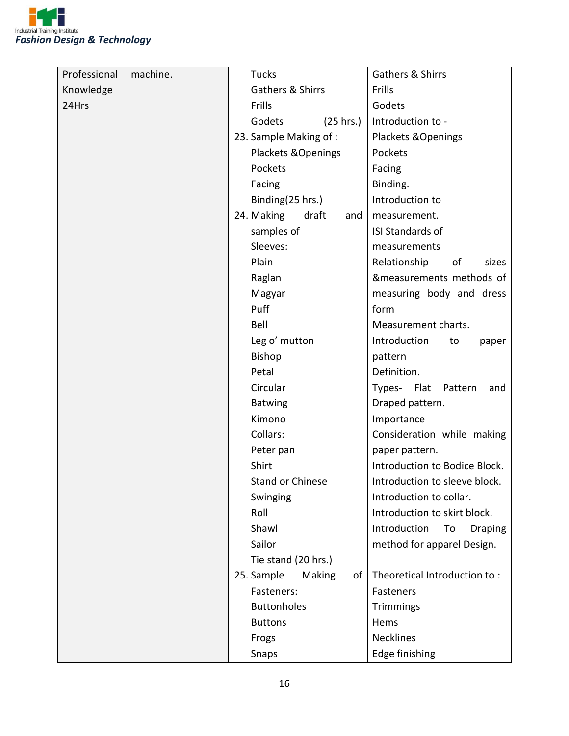

| Professional | machine. | <b>Tucks</b>               | Gathers & Shirrs                     |
|--------------|----------|----------------------------|--------------------------------------|
| Knowledge    |          | Gathers & Shirrs           | Frills                               |
| 24Hrs        |          | Frills                     | Godets                               |
|              |          | Godets<br>(25 hrs.)        | Introduction to -                    |
|              |          | 23. Sample Making of:      | Plackets & Openings                  |
|              |          | Plackets & Openings        | Pockets                              |
|              |          | Pockets                    | Facing                               |
|              |          | Facing                     | Binding.                             |
|              |          | Binding(25 hrs.)           | Introduction to                      |
|              |          | 24. Making<br>draft<br>and | measurement.                         |
|              |          | samples of                 | ISI Standards of                     |
|              |          | Sleeves:                   | measurements                         |
|              |          | Plain                      | Relationship<br>of<br>sizes          |
|              |          | Raglan                     | &measurements methods of             |
|              |          | Magyar                     | measuring body and dress             |
|              |          | Puff                       | form                                 |
|              |          | Bell                       | Measurement charts.                  |
|              |          | Leg o' mutton              | Introduction<br>to<br>paper          |
|              |          | Bishop                     | pattern                              |
|              |          | Petal                      | Definition.                          |
|              |          | Circular                   | Types- Flat<br>Pattern<br>and        |
|              |          | <b>Batwing</b>             | Draped pattern.                      |
|              |          | Kimono                     | Importance                           |
|              |          | Collars:                   | Consideration while making           |
|              |          | Peter pan                  | paper pattern.                       |
|              |          | Shirt                      | Introduction to Bodice Block.        |
|              |          | <b>Stand or Chinese</b>    | Introduction to sleeve block.        |
|              |          | Swinging                   | Introduction to collar.              |
|              |          | Roll                       | Introduction to skirt block.         |
|              |          | Shawl                      | Introduction<br>To<br><b>Draping</b> |
|              |          | Sailor                     | method for apparel Design.           |
|              |          | Tie stand (20 hrs.)        |                                      |
|              |          | 25. Sample<br>Making<br>of | Theoretical Introduction to:         |
|              |          | Fasteners:                 | Fasteners                            |
|              |          | <b>Buttonholes</b>         | Trimmings                            |
|              |          | <b>Buttons</b>             | Hems                                 |
|              |          | Frogs                      | <b>Necklines</b>                     |
|              |          | Snaps                      | Edge finishing                       |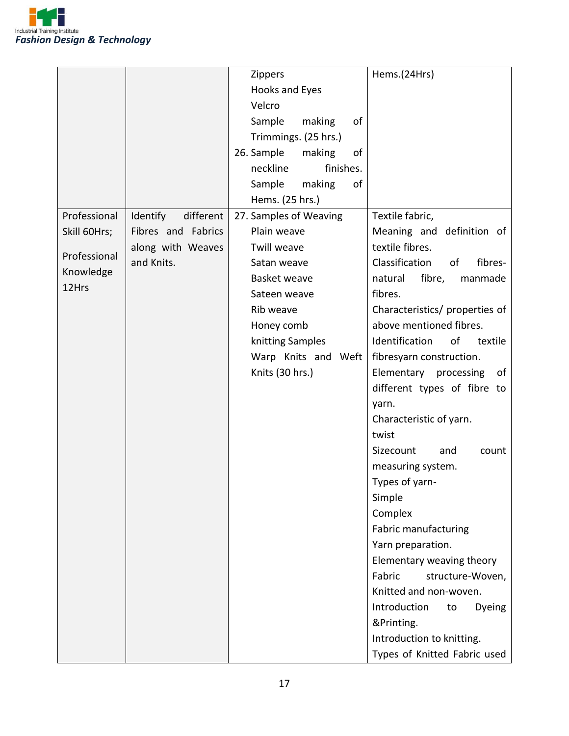

|              |                       | <b>Zippers</b>             | Hems.(24Hrs)                    |
|--------------|-----------------------|----------------------------|---------------------------------|
|              |                       | Hooks and Eyes             |                                 |
|              |                       | Velcro                     |                                 |
|              |                       | Sample<br>of<br>making     |                                 |
|              |                       | Trimmings. (25 hrs.)       |                                 |
|              |                       | 26. Sample<br>of<br>making |                                 |
|              |                       | neckline<br>finishes.      |                                 |
|              |                       | Sample<br>making<br>of     |                                 |
|              |                       | Hems. (25 hrs.)            |                                 |
| Professional | Identify<br>different | 27. Samples of Weaving     | Textile fabric,                 |
| Skill 60Hrs; | Fibres and Fabrics    | Plain weave                | Meaning and definition of       |
|              | along with Weaves     | Twill weave                | textile fibres.                 |
| Professional | and Knits.            | Satan weave                | Classification<br>fibres-<br>of |
| Knowledge    |                       | Basket weave               | fibre,<br>natural<br>manmade    |
| 12Hrs        |                       | Sateen weave               | fibres.                         |
|              |                       | Rib weave                  | Characteristics/ properties of  |
|              |                       | Honey comb                 | above mentioned fibres.         |
|              |                       | knitting Samples           | Identification<br>of<br>textile |
|              |                       | Warp Knits and Weft        | fibresyarn construction.        |
|              |                       | Knits (30 hrs.)            | Elementary processing<br>of     |
|              |                       |                            | different types of fibre to     |
|              |                       |                            | yarn.                           |
|              |                       |                            | Characteristic of yarn.         |
|              |                       |                            | twist                           |
|              |                       |                            | Sizecount<br>and<br>count       |
|              |                       |                            | measuring system.               |
|              |                       |                            | Types of yarn-                  |
|              |                       |                            | Simple                          |
|              |                       |                            | Complex                         |
|              |                       |                            | Fabric manufacturing            |
|              |                       |                            | Yarn preparation.               |
|              |                       |                            | Elementary weaving theory       |
|              |                       |                            | Fabric<br>structure-Woven,      |
|              |                       |                            | Knitted and non-woven.          |
|              |                       |                            | Introduction<br>Dyeing<br>to    |
|              |                       |                            | &Printing.                      |
|              |                       |                            | Introduction to knitting.       |
|              |                       |                            | Types of Knitted Fabric used    |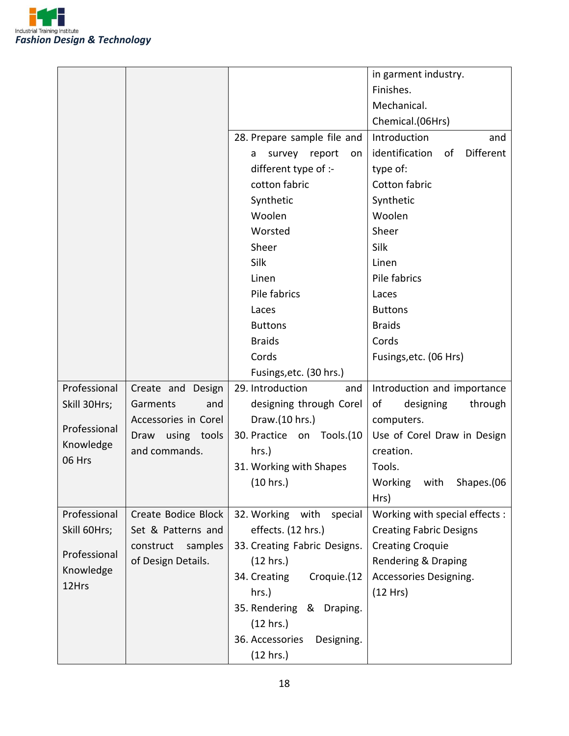

|                    |                      |                               | in garment industry.                     |
|--------------------|----------------------|-------------------------------|------------------------------------------|
|                    |                      |                               | Finishes.                                |
|                    |                      |                               | Mechanical.                              |
|                    |                      |                               | Chemical.(06Hrs)                         |
|                    |                      | 28. Prepare sample file and   | Introduction<br>and                      |
|                    |                      | survey report<br>a<br>on      | identification<br><b>Different</b><br>of |
|                    |                      | different type of :-          | type of:                                 |
|                    |                      | cotton fabric                 | Cotton fabric                            |
|                    |                      | Synthetic                     |                                          |
|                    |                      | Woolen                        | Synthetic<br>Woolen                      |
|                    |                      |                               | Sheer                                    |
|                    |                      | Worsted<br>Sheer              |                                          |
|                    |                      |                               | Silk                                     |
|                    |                      | Silk                          | Linen                                    |
|                    |                      | Linen                         | Pile fabrics                             |
|                    |                      | Pile fabrics                  | Laces                                    |
|                    |                      | Laces                         | <b>Buttons</b>                           |
|                    |                      | <b>Buttons</b>                | <b>Braids</b>                            |
|                    |                      | <b>Braids</b>                 | Cords                                    |
|                    |                      | Cords                         | Fusings, etc. (06 Hrs)                   |
|                    |                      | Fusings, etc. (30 hrs.)       |                                          |
| Professional       | Create and Design    | 29. Introduction<br>and       | Introduction and importance              |
| Skill 30Hrs;       | Garments<br>and      | designing through Corel       | of<br>designing<br>through               |
| Professional       | Accessories in Corel | Draw.(10 hrs.)                | computers.                               |
| Knowledge          | Draw using tools     | 30. Practice on Tools.(10     | Use of Corel Draw in Design              |
| 06 Hrs             | and commands.        | hrs.)                         | creation.                                |
|                    |                      | 31. Working with Shapes       | Tools.                                   |
|                    |                      | (10 hrs.)                     | Working with<br>Shapes.(06               |
|                    |                      |                               | Hrs)                                     |
| Professional       | Create Bodice Block  | 32. Working with<br>special   | Working with special effects :           |
| Skill 60Hrs;       | Set & Patterns and   | effects. (12 hrs.)            | <b>Creating Fabric Designs</b>           |
| Professional       | construct<br>samples | 33. Creating Fabric Designs.  | <b>Creating Croquie</b>                  |
|                    | of Design Details.   | (12 hrs.)                     | Rendering & Draping                      |
| Knowledge<br>12Hrs |                      | Croquie.(12<br>34. Creating   | Accessories Designing.                   |
|                    |                      | hrs.)                         | (12 Hrs)                                 |
|                    |                      | 35. Rendering & Draping.      |                                          |
|                    |                      | (12 hrs.)                     |                                          |
|                    |                      | 36. Accessories<br>Designing. |                                          |
|                    |                      | (12 hrs.)                     |                                          |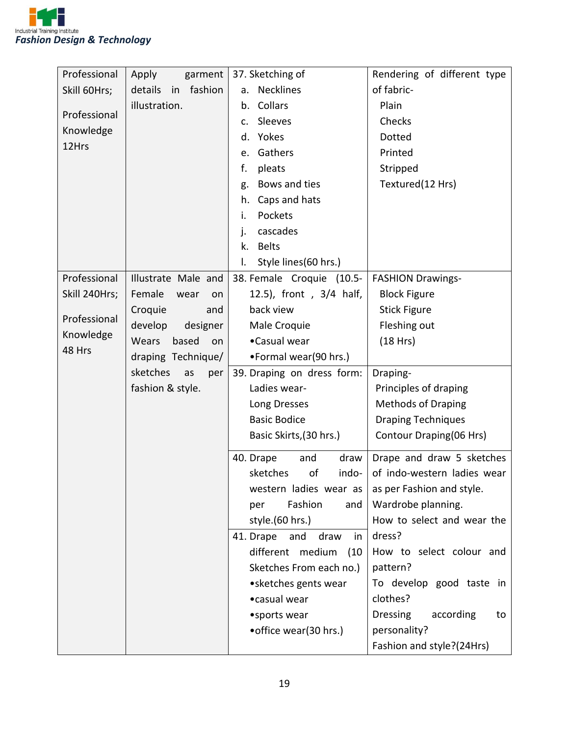

| Professional  | Apply<br>garment         | 37. Sketching of               | Rendering of different type        |
|---------------|--------------------------|--------------------------------|------------------------------------|
| Skill 60Hrs;  | details<br>fashion<br>in | <b>Necklines</b><br>a.         | of fabric-                         |
|               | illustration.            | Collars<br>b.                  | Plain                              |
| Professional  |                          | Sleeves<br>c.                  | Checks                             |
| Knowledge     |                          | Yokes<br>d.                    | Dotted                             |
| 12Hrs         |                          | Gathers<br>e.                  | Printed                            |
|               |                          | f.<br>pleats                   | Stripped                           |
|               |                          | Bows and ties<br>g.            | Textured(12 Hrs)                   |
|               |                          | Caps and hats<br>h.            |                                    |
|               |                          | Pockets<br>i.                  |                                    |
|               |                          | cascades<br>j.                 |                                    |
|               |                          | <b>Belts</b><br>k.             |                                    |
|               |                          | Style lines (60 hrs.)<br>I.    |                                    |
| Professional  | Illustrate Male and      | 38. Female Croquie (10.5-      | <b>FASHION Drawings-</b>           |
| Skill 240Hrs; | Female<br>wear<br>on     | 12.5), front, 3/4 half,        | <b>Block Figure</b>                |
|               | Croquie<br>and           | back view                      | <b>Stick Figure</b>                |
| Professional  | develop<br>designer      | Male Croquie                   | Fleshing out                       |
| Knowledge     | Wears<br>based<br>on     | •Casual wear                   | (18 Hrs)                           |
| 48 Hrs        | draping Technique/       | •Formal wear(90 hrs.)          |                                    |
|               | sketches<br>as<br>per    | 39. Draping on dress form:     | Draping-                           |
|               | fashion & style.         | Ladies wear-                   | Principles of draping              |
|               |                          | Long Dresses                   | <b>Methods of Draping</b>          |
|               |                          | <b>Basic Bodice</b>            | <b>Draping Techniques</b>          |
|               |                          | Basic Skirts, (30 hrs.)        | Contour Draping(06 Hrs)            |
|               |                          |                                |                                    |
|               |                          | 40. Drape<br>and<br>draw       | Drape and draw 5 sketches          |
|               |                          | sketches<br>of<br>indo-        | of indo-western ladies wear        |
|               |                          | western ladies wear as         | as per Fashion and style.          |
|               |                          | Fashion<br>per<br>and          | Wardrobe planning.                 |
|               |                          | style.(60 hrs.)                | How to select and wear the         |
|               |                          | 41. Drape<br>and<br>draw<br>in | dress?                             |
|               |                          | different medium<br>(10)       | How to select colour and           |
|               |                          | Sketches From each no.)        | pattern?                           |
|               |                          | • sketches gents wear          | To develop good taste in           |
|               |                          | •casual wear                   | clothes?                           |
|               |                          | • sports wear                  | <b>Dressing</b><br>according<br>to |
|               |                          | • office wear(30 hrs.)         | personality?                       |
|               |                          |                                | Fashion and style?(24Hrs)          |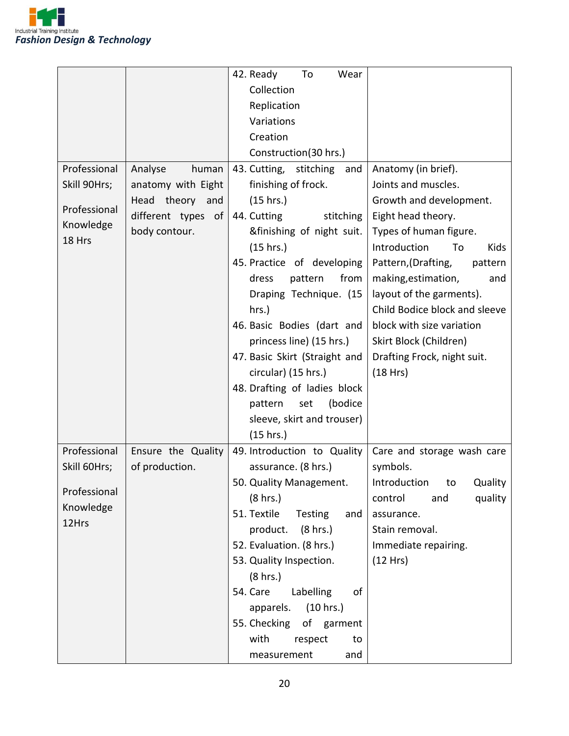

|              |                    | 42. Ready<br>To<br>Wear        |                                |
|--------------|--------------------|--------------------------------|--------------------------------|
|              |                    | Collection                     |                                |
|              |                    | Replication                    |                                |
|              |                    | Variations                     |                                |
|              |                    | Creation                       |                                |
|              |                    |                                |                                |
|              |                    | Construction(30 hrs.)          |                                |
| Professional | human<br>Analyse   | 43. Cutting, stitching<br>and  | Anatomy (in brief).            |
| Skill 90Hrs; | anatomy with Eight | finishing of frock.            | Joints and muscles.            |
| Professional | Head theory and    | (15 hrs.)                      | Growth and development.        |
| Knowledge    | different types of | 44. Cutting<br>stitching       | Eight head theory.             |
| 18 Hrs       | body contour.      | &finishing of night suit.      | Types of human figure.         |
|              |                    | (15 hrs.)                      | Introduction<br>To<br>Kids     |
|              |                    | 45. Practice of developing     | Pattern, (Drafting,<br>pattern |
|              |                    | from<br>dress<br>pattern       | making, estimation,<br>and     |
|              |                    | Draping Technique. (15         | layout of the garments).       |
|              |                    | hrs.)                          | Child Bodice block and sleeve  |
|              |                    | 46. Basic Bodies (dart and     | block with size variation      |
|              |                    | princess line) (15 hrs.)       | Skirt Block (Children)         |
|              |                    | 47. Basic Skirt (Straight and  | Drafting Frock, night suit.    |
|              |                    | circular) (15 hrs.)            | (18 Hrs)                       |
|              |                    | 48. Drafting of ladies block   |                                |
|              |                    | (bodice<br>pattern<br>set      |                                |
|              |                    | sleeve, skirt and trouser)     |                                |
|              |                    | (15 hrs.)                      |                                |
| Professional | Ensure the Quality | 49. Introduction to Quality    | Care and storage wash care     |
| Skill 60Hrs; | of production.     | assurance. (8 hrs.)            | symbols.                       |
|              |                    | 50. Quality Management.        | Introduction to Quality        |
| Professional |                    |                                |                                |
| Knowledge    |                    | (8 hrs.)<br>51. Textile        | quality<br>control<br>and      |
| 12Hrs        |                    | <b>Testing</b><br>and          | assurance.                     |
|              |                    | product.<br>$(8 \text{ hrs.})$ | Stain removal.                 |
|              |                    | 52. Evaluation. (8 hrs.)       | Immediate repairing.           |
|              |                    | 53. Quality Inspection.        | (12 Hrs)                       |
|              |                    | (8 hrs.)                       |                                |
|              |                    | 54. Care<br>Labelling<br>of    |                                |
|              |                    | (10 hrs.)<br>apparels.         |                                |
|              |                    | 55. Checking of garment        |                                |
|              |                    | with<br>respect<br>to          |                                |
|              |                    | and<br>measurement             |                                |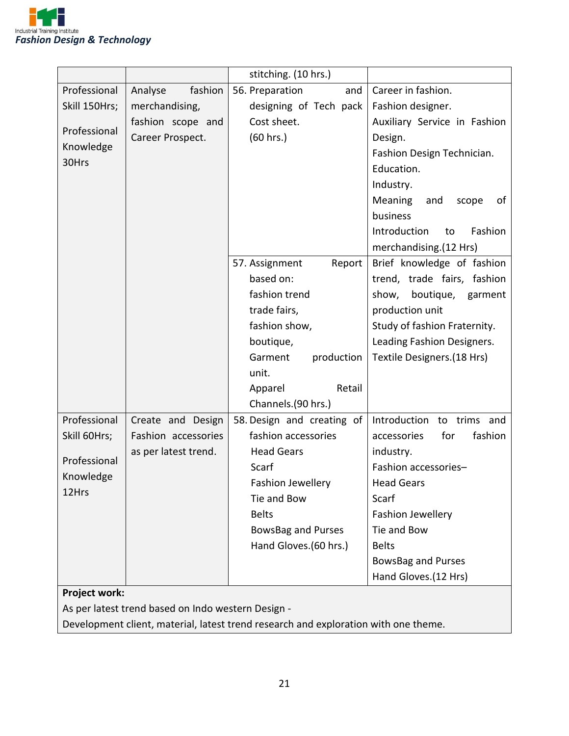

|               |                      | stitching. (10 hrs.)       |                               |
|---------------|----------------------|----------------------------|-------------------------------|
| Professional  | fashion<br>Analyse   | 56. Preparation<br>and     | Career in fashion.            |
| Skill 150Hrs; | merchandising,       | designing of Tech pack     | Fashion designer.             |
|               | fashion scope and    | Cost sheet.                | Auxiliary Service in Fashion  |
| Professional  | Career Prospect.     | (60 hrs.)                  | Design.                       |
| Knowledge     |                      |                            | Fashion Design Technician.    |
| 30Hrs         |                      |                            | Education.                    |
|               |                      |                            | Industry.                     |
|               |                      |                            | Meaning<br>of<br>and<br>scope |
|               |                      |                            | business                      |
|               |                      |                            | Introduction<br>Fashion<br>to |
|               |                      |                            | merchandising.(12 Hrs)        |
|               |                      | 57. Assignment<br>Report   | Brief knowledge of fashion    |
|               |                      | based on:                  | trend, trade fairs, fashion   |
|               |                      | fashion trend              | boutique, garment<br>show,    |
|               |                      | trade fairs,               | production unit               |
|               |                      | fashion show,              | Study of fashion Fraternity.  |
|               |                      | boutique,                  | Leading Fashion Designers.    |
|               |                      | Garment<br>production      | Textile Designers.(18 Hrs)    |
|               |                      | unit.                      |                               |
|               |                      | Retail<br>Apparel          |                               |
|               |                      | Channels.(90 hrs.)         |                               |
| Professional  | Create and Design    | 58. Design and creating of | Introduction to trims and     |
| Skill 60Hrs;  | Fashion accessories  | fashion accessories        | fashion<br>accessories<br>for |
| Professional  | as per latest trend. | <b>Head Gears</b>          | industry.                     |
| Knowledge     |                      | Scarf                      | Fashion accessories-          |
| 12Hrs         |                      | <b>Fashion Jewellery</b>   | <b>Head Gears</b>             |
|               |                      | Tie and Bow                | Scarf                         |
|               |                      | <b>Belts</b>               | Fashion Jewellery             |
|               |                      | <b>BowsBag and Purses</b>  | Tie and Bow                   |
|               |                      | Hand Gloves.(60 hrs.)      | <b>Belts</b>                  |
|               |                      |                            | <b>BowsBag and Purses</b>     |
|               |                      |                            | Hand Gloves.(12 Hrs)          |
| Project work: |                      |                            |                               |

As per latest trend based on Indo western Design -

Development client, material, latest trend research and exploration with one theme.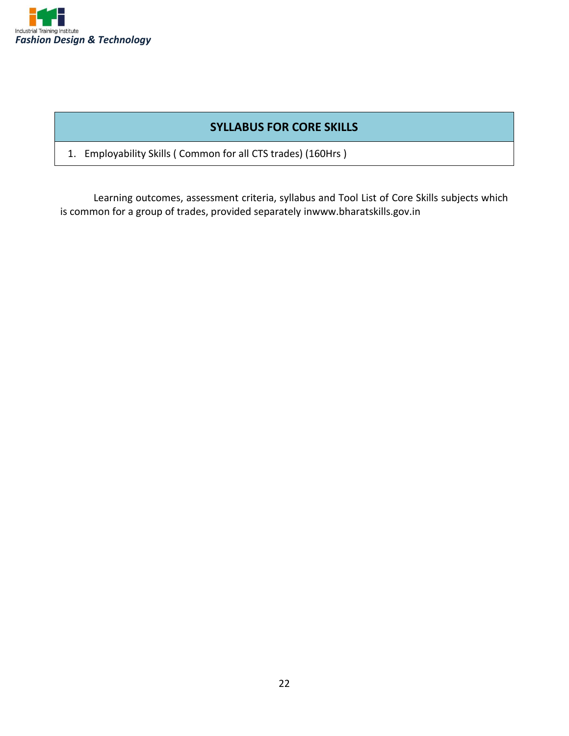

#### **SYLLABUS FOR CORE SKILLS**

1. Employability Skills ( Common for all CTS trades) (160Hrs )

Learning outcomes, assessment criteria, syllabus and Tool List of Core Skills subjects which is common for a group of trades, provided separately inwww.bharatskills.gov.in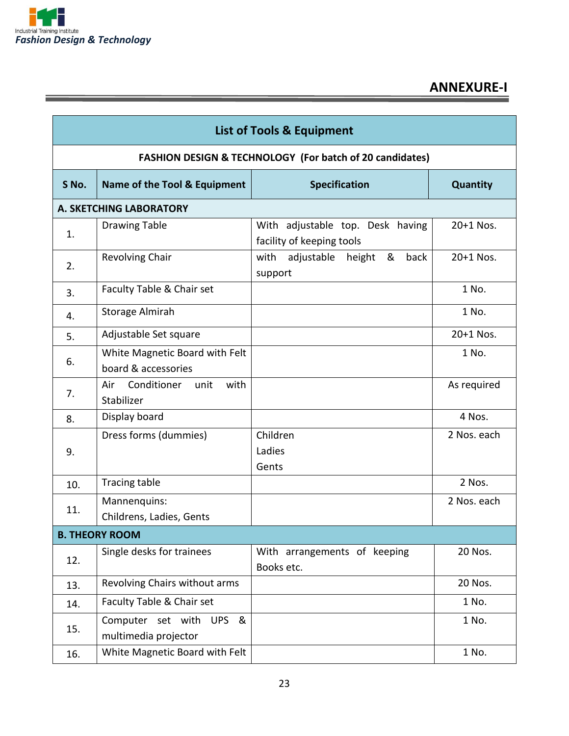

Ξ

## **ANNEXURE-I**

| <b>List of Tools &amp; Equipment</b> |                                                       |                                                                     |             |
|--------------------------------------|-------------------------------------------------------|---------------------------------------------------------------------|-------------|
|                                      |                                                       | <b>FASHION DESIGN &amp; TECHNOLOGY (For batch of 20 candidates)</b> |             |
| S No.                                | Name of the Tool & Equipment                          | <b>Specification</b>                                                | Quantity    |
|                                      | A. SKETCHING LABORATORY                               |                                                                     |             |
| 1.                                   | <b>Drawing Table</b>                                  | With adjustable top. Desk having<br>facility of keeping tools       | $20+1$ Nos. |
| 2.                                   | Revolving Chair                                       | back<br>with<br>adjustable<br>height<br>&<br>support                | $20+1$ Nos. |
| 3.                                   | Faculty Table & Chair set                             |                                                                     | 1 No.       |
| 4.                                   | <b>Storage Almirah</b>                                |                                                                     | 1 No.       |
| 5.                                   | Adjustable Set square                                 |                                                                     | $20+1$ Nos. |
| 6.                                   | White Magnetic Board with Felt<br>board & accessories |                                                                     | 1 No.       |
| 7.                                   | Conditioner<br>with<br>Air<br>unit<br>Stabilizer      |                                                                     | As required |
| 8.                                   | Display board                                         |                                                                     | 4 Nos.      |
| 9.                                   | Dress forms (dummies)                                 | Children<br>Ladies<br>Gents                                         | 2 Nos. each |
| 10.                                  | Tracing table                                         |                                                                     | 2 Nos.      |
| 11.                                  | Mannenquins:<br>Childrens, Ladies, Gents              |                                                                     | 2 Nos. each |
|                                      | <b>B. THEORY ROOM</b>                                 |                                                                     |             |
| 12.                                  | Single desks for trainees                             | With arrangements of keeping<br>Books etc.                          | 20 Nos.     |
| 13.                                  | Revolving Chairs without arms                         |                                                                     | 20 Nos.     |
| 14.                                  | Faculty Table & Chair set                             |                                                                     | 1 No.       |
| 15.                                  | Computer set with UPS &<br>multimedia projector       |                                                                     | 1 No.       |
| 16.                                  | White Magnetic Board with Felt                        |                                                                     | 1 No.       |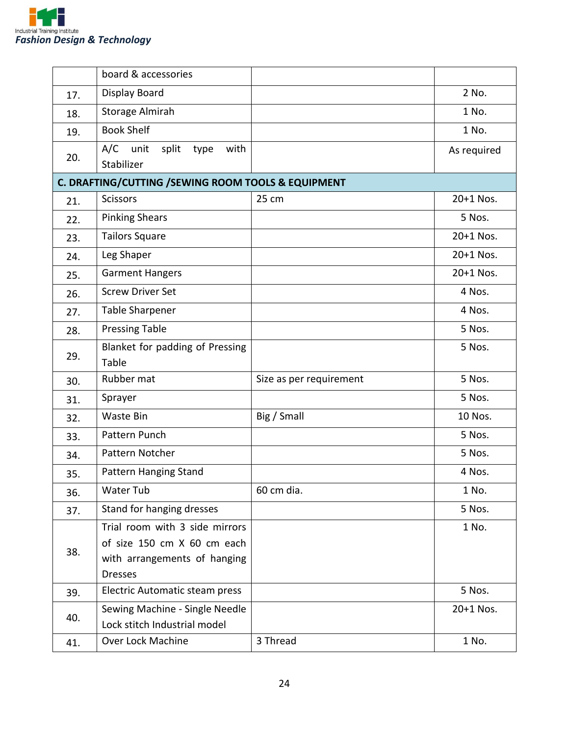

|     | board & accessories                                                                                             |                         |             |
|-----|-----------------------------------------------------------------------------------------------------------------|-------------------------|-------------|
| 17. | Display Board                                                                                                   |                         | 2 No.       |
| 18. | Storage Almirah                                                                                                 |                         | 1 No.       |
| 19. | <b>Book Shelf</b>                                                                                               |                         | 1 No.       |
| 20. | A/C<br>unit<br>split<br>with<br>type<br>Stabilizer                                                              |                         | As required |
|     | C. DRAFTING/CUTTING / SEWING ROOM TOOLS & EQUIPMENT                                                             |                         |             |
| 21. | <b>Scissors</b>                                                                                                 | 25 cm                   | 20+1 Nos.   |
| 22. | <b>Pinking Shears</b>                                                                                           |                         | 5 Nos.      |
| 23. | <b>Tailors Square</b>                                                                                           |                         | 20+1 Nos.   |
| 24. | Leg Shaper                                                                                                      |                         | 20+1 Nos.   |
| 25. | <b>Garment Hangers</b>                                                                                          |                         | 20+1 Nos.   |
| 26. | <b>Screw Driver Set</b>                                                                                         |                         | 4 Nos.      |
| 27. | Table Sharpener                                                                                                 |                         | 4 Nos.      |
| 28. | <b>Pressing Table</b>                                                                                           |                         | 5 Nos.      |
| 29. | Blanket for padding of Pressing<br>Table                                                                        |                         | 5 Nos.      |
| 30. | Rubber mat                                                                                                      | Size as per requirement | 5 Nos.      |
| 31. | Sprayer                                                                                                         |                         | 5 Nos.      |
| 32. | Waste Bin                                                                                                       | Big / Small             | 10 Nos.     |
| 33. | Pattern Punch                                                                                                   |                         | 5 Nos.      |
| 34. | Pattern Notcher                                                                                                 |                         | 5 Nos.      |
| 35. | Pattern Hanging Stand                                                                                           |                         | 4 Nos.      |
| 36. | Water Tub                                                                                                       | 60 cm dia.              | 1 No.       |
| 37. | Stand for hanging dresses                                                                                       |                         | 5 Nos.      |
| 38. | Trial room with 3 side mirrors<br>of size 150 cm X 60 cm each<br>with arrangements of hanging<br><b>Dresses</b> |                         | 1 No.       |
| 39. | Electric Automatic steam press                                                                                  |                         | 5 Nos.      |
| 40. | Sewing Machine - Single Needle<br>Lock stitch Industrial model                                                  |                         | 20+1 Nos.   |
| 41. | Over Lock Machine                                                                                               | 3 Thread                | 1 No.       |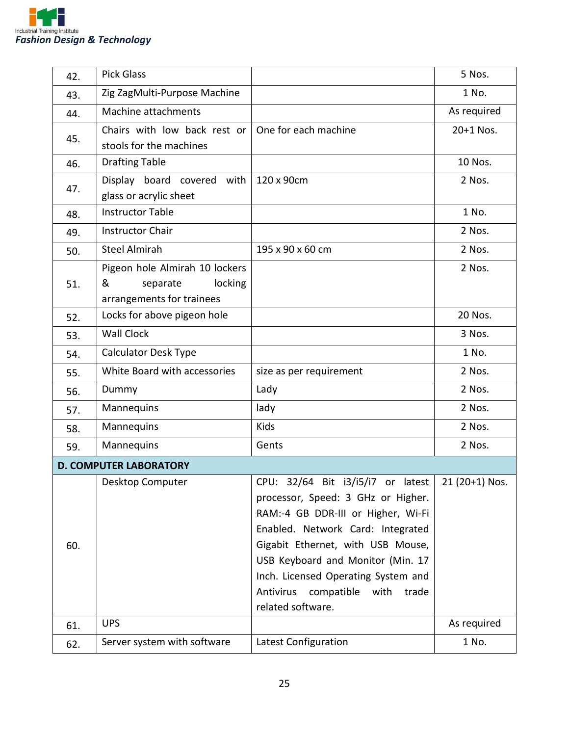

| 42. | <b>Pick Glass</b>                                                                       |                                                                                                                                                                                                                                                                                                                                                   | 5 Nos.      |
|-----|-----------------------------------------------------------------------------------------|---------------------------------------------------------------------------------------------------------------------------------------------------------------------------------------------------------------------------------------------------------------------------------------------------------------------------------------------------|-------------|
| 43. | Zig ZagMulti-Purpose Machine                                                            |                                                                                                                                                                                                                                                                                                                                                   | 1 No.       |
| 44. | Machine attachments                                                                     |                                                                                                                                                                                                                                                                                                                                                   | As required |
| 45. | Chairs with low back rest or<br>stools for the machines                                 | One for each machine                                                                                                                                                                                                                                                                                                                              | 20+1 Nos.   |
| 46. | <b>Drafting Table</b>                                                                   |                                                                                                                                                                                                                                                                                                                                                   | 10 Nos.     |
| 47. | Display board covered with $\frac{120}{120}$ x 90cm<br>glass or acrylic sheet           |                                                                                                                                                                                                                                                                                                                                                   | 2 Nos.      |
| 48. | <b>Instructor Table</b>                                                                 |                                                                                                                                                                                                                                                                                                                                                   | 1 No.       |
| 49. | <b>Instructor Chair</b>                                                                 |                                                                                                                                                                                                                                                                                                                                                   | 2 Nos.      |
| 50. | <b>Steel Almirah</b>                                                                    | 195 x 90 x 60 cm                                                                                                                                                                                                                                                                                                                                  | 2 Nos.      |
| 51. | Pigeon hole Almirah 10 lockers<br>&<br>locking<br>separate<br>arrangements for trainees |                                                                                                                                                                                                                                                                                                                                                   | 2 Nos.      |
| 52. | Locks for above pigeon hole                                                             |                                                                                                                                                                                                                                                                                                                                                   | 20 Nos.     |
| 53. | <b>Wall Clock</b>                                                                       |                                                                                                                                                                                                                                                                                                                                                   | 3 Nos.      |
| 54. | <b>Calculator Desk Type</b>                                                             |                                                                                                                                                                                                                                                                                                                                                   | 1 No.       |
| 55. | White Board with accessories                                                            | size as per requirement                                                                                                                                                                                                                                                                                                                           | 2 Nos.      |
| 56. | Dummy                                                                                   | Lady                                                                                                                                                                                                                                                                                                                                              | 2 Nos.      |
| 57. | Mannequins                                                                              | lady                                                                                                                                                                                                                                                                                                                                              | 2 Nos.      |
| 58. | Mannequins                                                                              | <b>Kids</b>                                                                                                                                                                                                                                                                                                                                       | 2 Nos.      |
| 59. | Mannequins                                                                              | Gents                                                                                                                                                                                                                                                                                                                                             | 2 Nos.      |
|     | <b>D. COMPUTER LABORATORY</b>                                                           |                                                                                                                                                                                                                                                                                                                                                   |             |
| 60. | Desktop Computer                                                                        | CPU: $32/64$ Bit $i3/i5/i7$ or latest 21 (20+1) Nos.<br>processor, Speed: 3 GHz or Higher.<br>RAM:-4 GB DDR-III or Higher, Wi-Fi<br>Enabled. Network Card: Integrated<br>Gigabit Ethernet, with USB Mouse,<br>USB Keyboard and Monitor (Min. 17<br>Inch. Licensed Operating System and<br>Antivirus compatible with<br>trade<br>related software. |             |
| 61. | <b>UPS</b>                                                                              |                                                                                                                                                                                                                                                                                                                                                   | As required |
| 62. | Server system with software                                                             | Latest Configuration                                                                                                                                                                                                                                                                                                                              | 1 No.       |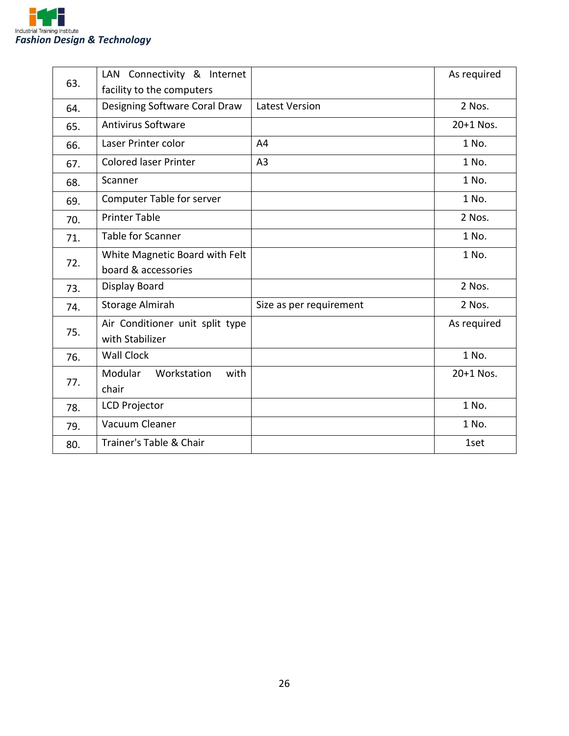

| 63. | LAN Connectivity & Internet      |                         | As required |
|-----|----------------------------------|-------------------------|-------------|
|     | facility to the computers        |                         |             |
| 64. | Designing Software Coral Draw    | <b>Latest Version</b>   | 2 Nos.      |
| 65. | <b>Antivirus Software</b>        |                         | 20+1 Nos.   |
| 66. | Laser Printer color              | A4                      | 1 No.       |
| 67. | <b>Colored laser Printer</b>     | A <sub>3</sub>          | 1 No.       |
| 68. | Scanner                          |                         | 1 No.       |
| 69. | <b>Computer Table for server</b> |                         | 1 No.       |
| 70. | <b>Printer Table</b>             |                         | 2 Nos.      |
| 71. | <b>Table for Scanner</b>         |                         | 1 No.       |
| 72. | White Magnetic Board with Felt   |                         | 1 No.       |
|     | board & accessories              |                         |             |
| 73. | Display Board                    |                         | 2 Nos.      |
| 74. | Storage Almirah                  | Size as per requirement | 2 Nos.      |
| 75. | Air Conditioner unit split type  |                         | As required |
|     | with Stabilizer                  |                         |             |
| 76. | <b>Wall Clock</b>                |                         | 1 No.       |
| 77. | Modular<br>Workstation<br>with   |                         | 20+1 Nos.   |
|     | chair                            |                         |             |
| 78. | <b>LCD Projector</b>             |                         | 1 No.       |
| 79. | Vacuum Cleaner                   |                         | 1 No.       |
| 80. | Trainer's Table & Chair          |                         | 1set        |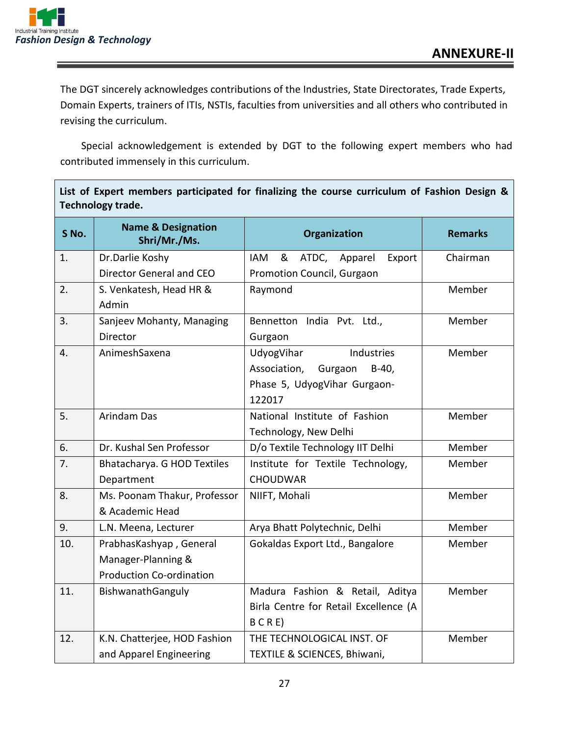

The DGT sincerely acknowledges contributions of the Industries, State Directorates, Trade Experts, Domain Experts, trainers of ITIs, NSTIs, faculties from universities and all others who contributed in revising the curriculum.

Special acknowledgement is extended by DGT to the following expert members who had contributed immensely in this curriculum.

**List of Expert members participated for finalizing the course curriculum of Fashion Design &** 

| Technology trade. |                                               |                                            |                |
|-------------------|-----------------------------------------------|--------------------------------------------|----------------|
| S No.             | <b>Name &amp; Designation</b><br>Shri/Mr./Ms. | Organization                               | <b>Remarks</b> |
| 1.                | Dr.Darlie Koshy                               | ATDC, Apparel<br>Export<br><b>IAM</b><br>& | Chairman       |
|                   | Director General and CEO                      | Promotion Council, Gurgaon                 |                |
| 2.                | S. Venkatesh, Head HR &                       | Raymond                                    | Member         |
|                   | Admin                                         |                                            |                |
| 3.                | Sanjeev Mohanty, Managing                     | Bennetton India Pvt. Ltd.,                 | Member         |
|                   | Director                                      | Gurgaon                                    |                |
| 4.                | AnimeshSaxena                                 | Industries<br>UdyogVihar                   | Member         |
|                   |                                               | Association, Gurgaon<br>$B-40$ ,           |                |
|                   |                                               | Phase 5, UdyogVihar Gurgaon-               |                |
|                   |                                               | 122017                                     |                |
| 5.                | Arindam Das                                   | National Institute of Fashion              | Member         |
|                   |                                               | Technology, New Delhi                      |                |
| 6.                | Dr. Kushal Sen Professor                      | D/o Textile Technology IIT Delhi           | Member         |
| 7.                | Bhatacharya. G HOD Textiles                   | Institute for Textile Technology,          | Member         |
|                   | Department                                    | <b>CHOUDWAR</b>                            |                |
| 8.                | Ms. Poonam Thakur, Professor                  | NIIFT, Mohali                              | Member         |
|                   | & Academic Head                               |                                            |                |
| 9.                | L.N. Meena, Lecturer                          | Arya Bhatt Polytechnic, Delhi              | Member         |
| 10.               | PrabhasKashyap, General                       | Gokaldas Export Ltd., Bangalore            | Member         |
|                   | Manager-Planning &                            |                                            |                |
|                   | <b>Production Co-ordination</b>               |                                            |                |
| 11.               | BishwanathGanguly                             | Madura Fashion & Retail, Aditya            | Member         |
|                   |                                               | Birla Centre for Retail Excellence (A      |                |
|                   |                                               | $B$ C R E)                                 |                |
| 12.               | K.N. Chatterjee, HOD Fashion                  | THE TECHNOLOGICAL INST. OF                 | Member         |
|                   | and Apparel Engineering                       | TEXTILE & SCIENCES, Bhiwani,               |                |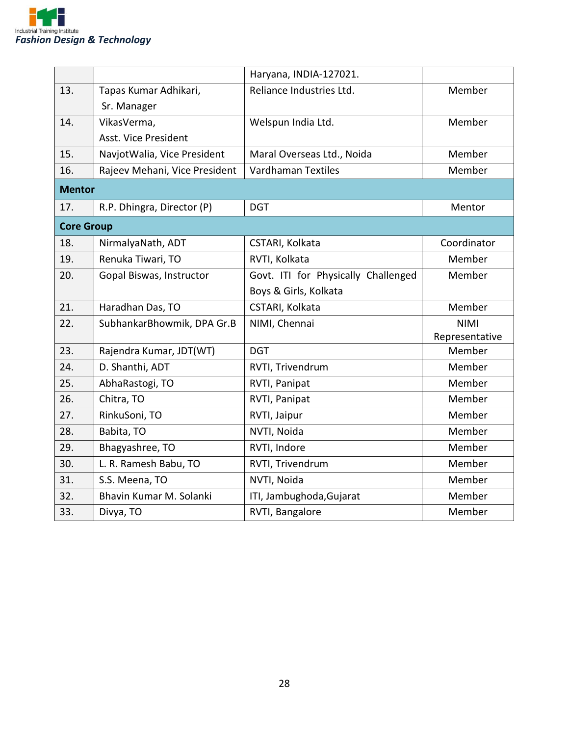

|                   |                               | Haryana, INDIA-127021.              |                |
|-------------------|-------------------------------|-------------------------------------|----------------|
| 13.               | Tapas Kumar Adhikari,         | Reliance Industries Ltd.            | Member         |
|                   | Sr. Manager                   |                                     |                |
| 14.               | VikasVerma,                   | Welspun India Ltd.                  | Member         |
|                   | Asst. Vice President          |                                     |                |
| 15.               | NavjotWalia, Vice President   | Maral Overseas Ltd., Noida          | Member         |
| 16.               | Rajeev Mehani, Vice President | <b>Vardhaman Textiles</b>           | Member         |
| <b>Mentor</b>     |                               |                                     |                |
| 17.               | R.P. Dhingra, Director (P)    | <b>DGT</b>                          | Mentor         |
| <b>Core Group</b> |                               |                                     |                |
| 18.               | NirmalyaNath, ADT             | CSTARI, Kolkata                     | Coordinator    |
| 19.               | Renuka Tiwari, TO             | RVTI, Kolkata                       | Member         |
| 20.               | Gopal Biswas, Instructor      | Govt. ITI for Physically Challenged | Member         |
|                   |                               | Boys & Girls, Kolkata               |                |
| 21.               | Haradhan Das, TO              | CSTARI, Kolkata                     | Member         |
| 22.               | SubhankarBhowmik, DPA Gr.B    | NIMI, Chennai                       | <b>NIMI</b>    |
|                   |                               |                                     | Representative |
| 23.               | Rajendra Kumar, JDT(WT)       | <b>DGT</b>                          | Member         |
| 24.               | D. Shanthi, ADT               | RVTI, Trivendrum                    | Member         |
| 25.               | AbhaRastogi, TO               | RVTI, Panipat                       | Member         |
| 26.               | Chitra, TO                    | RVTI, Panipat                       | Member         |
| 27.               | RinkuSoni, TO                 | RVTI, Jaipur                        | Member         |
| 28.               | Babita, TO                    | NVTI, Noida                         | Member         |
| 29.               | Bhagyashree, TO               | RVTI, Indore                        | Member         |
| 30.               | L. R. Ramesh Babu, TO         | RVTI, Trivendrum                    | Member         |
| 31.               | S.S. Meena, TO                | NVTI, Noida                         | Member         |
| 32.               | Bhavin Kumar M. Solanki       | ITI, Jambughoda, Gujarat            | Member         |
| 33.               | Divya, TO                     | RVTI, Bangalore                     | Member         |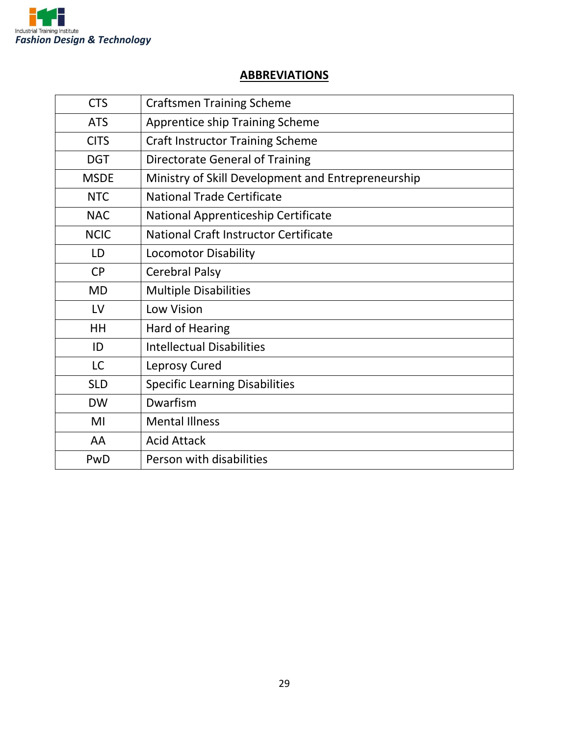

#### **ABBREVIATIONS**

| <b>CTS</b>  | <b>Craftsmen Training Scheme</b>                   |
|-------------|----------------------------------------------------|
| <b>ATS</b>  | <b>Apprentice ship Training Scheme</b>             |
| <b>CITS</b> | <b>Craft Instructor Training Scheme</b>            |
| <b>DGT</b>  | Directorate General of Training                    |
| <b>MSDE</b> | Ministry of Skill Development and Entrepreneurship |
| <b>NTC</b>  | <b>National Trade Certificate</b>                  |
| <b>NAC</b>  | National Apprenticeship Certificate                |
| <b>NCIC</b> | National Craft Instructor Certificate              |
| LD          | <b>Locomotor Disability</b>                        |
| <b>CP</b>   | <b>Cerebral Palsy</b>                              |
| <b>MD</b>   | <b>Multiple Disabilities</b>                       |
| LV          | <b>Low Vision</b>                                  |
| HH          | Hard of Hearing                                    |
| ID          | <b>Intellectual Disabilities</b>                   |
| LC          | Leprosy Cured                                      |
| <b>SLD</b>  | <b>Specific Learning Disabilities</b>              |
| <b>DW</b>   | Dwarfism                                           |
| MI          | <b>Mental Illness</b>                              |
| AA          | <b>Acid Attack</b>                                 |
| PwD         | Person with disabilities                           |